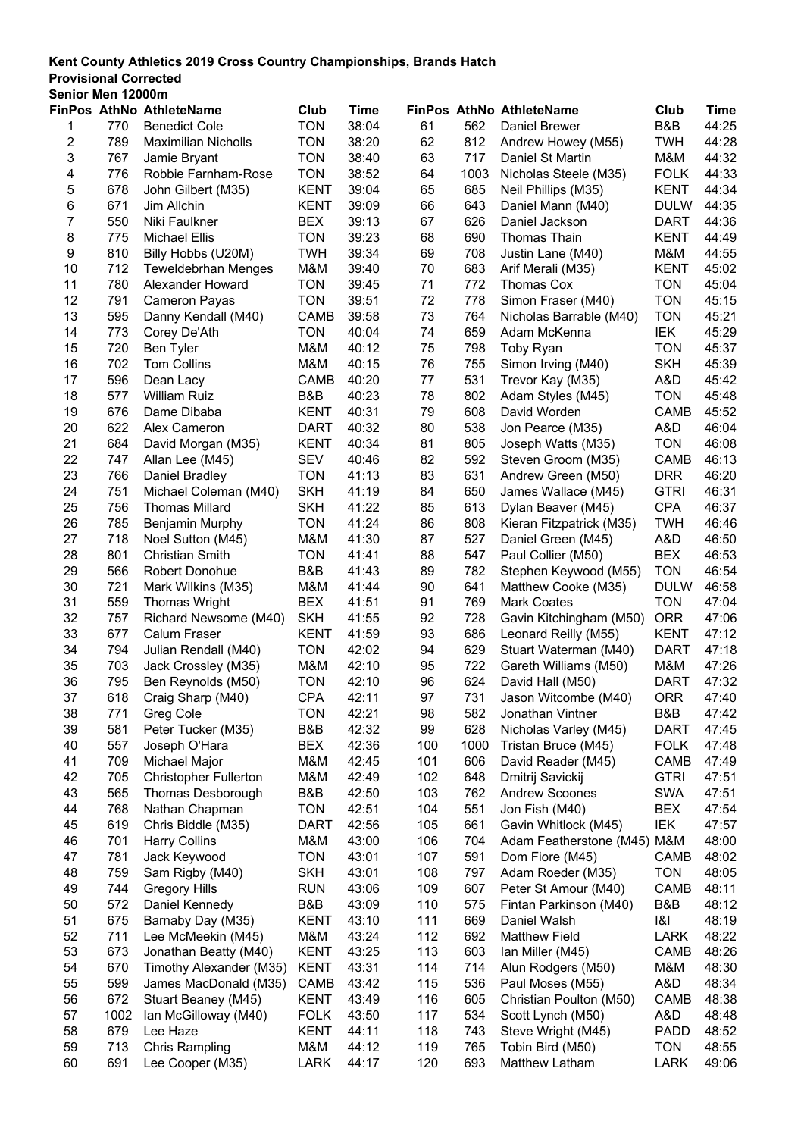#### **Provisional Corrected**

| Senior Men 12000m |      |                              |             |       |     |      |                                 |             |       |
|-------------------|------|------------------------------|-------------|-------|-----|------|---------------------------------|-------------|-------|
|                   |      | FinPos AthNo AthleteName     | Club        | Time  |     |      | <b>FinPos AthNo AthleteName</b> | Club        | Time  |
| 1                 | 770  | <b>Benedict Cole</b>         | <b>TON</b>  | 38:04 | 61  | 562  | <b>Daniel Brewer</b>            | B&B         | 44:25 |
| $\boldsymbol{2}$  | 789  | <b>Maximilian Nicholls</b>   | <b>TON</b>  | 38:20 | 62  | 812  | Andrew Howey (M55)              | <b>TWH</b>  | 44:28 |
| 3                 | 767  | Jamie Bryant                 | <b>TON</b>  | 38:40 | 63  | 717  | Daniel St Martin                | M&M         | 44:32 |
| 4                 | 776  | Robbie Farnham-Rose          | <b>TON</b>  | 38:52 | 64  | 1003 | Nicholas Steele (M35)           | <b>FOLK</b> | 44:33 |
| 5                 | 678  | John Gilbert (M35)           | <b>KENT</b> | 39:04 | 65  | 685  | Neil Phillips (M35)             | <b>KENT</b> | 44:34 |
| 6                 | 671  | Jim Allchin                  | <b>KENT</b> | 39:09 | 66  | 643  | Daniel Mann (M40)               | <b>DULW</b> | 44:35 |
| 7                 | 550  | Niki Faulkner                | <b>BEX</b>  | 39:13 | 67  | 626  | Daniel Jackson                  | <b>DART</b> | 44:36 |
| 8                 | 775  | <b>Michael Ellis</b>         | <b>TON</b>  | 39:23 | 68  | 690  | Thomas Thain                    | <b>KENT</b> | 44:49 |
| 9                 | 810  | Billy Hobbs (U20M)           | <b>TWH</b>  | 39:34 | 69  | 708  | Justin Lane (M40)               | M&M         | 44:55 |
| 10                | 712  | <b>Teweldebrhan Menges</b>   | M&M         | 39:40 | 70  | 683  | Arif Merali (M35)               | <b>KENT</b> | 45:02 |
| 11                | 780  | Alexander Howard             | <b>TON</b>  | 39:45 | 71  | 772  | Thomas Cox                      | <b>TON</b>  | 45:04 |
| 12                | 791  | <b>Cameron Payas</b>         | <b>TON</b>  | 39:51 | 72  | 778  | Simon Fraser (M40)              | <b>TON</b>  | 45:15 |
| 13                | 595  | Danny Kendall (M40)          | CAMB        | 39:58 | 73  | 764  | Nicholas Barrable (M40)         | <b>TON</b>  | 45:21 |
| 14                | 773  | Corey De'Ath                 | <b>TON</b>  | 40:04 | 74  | 659  | Adam McKenna                    | IEK         | 45:29 |
| 15                | 720  | Ben Tyler                    | M&M         | 40:12 | 75  | 798  | Toby Ryan                       | <b>TON</b>  | 45:37 |
| 16                | 702  | <b>Tom Collins</b>           | M&M         | 40:15 | 76  | 755  | Simon Irving (M40)              | <b>SKH</b>  | 45:39 |
| 17                | 596  | Dean Lacy                    | CAMB        | 40:20 | 77  | 531  | Trevor Kay (M35)                | A&D         | 45:42 |
| 18                | 577  | <b>William Ruiz</b>          | B&B         | 40:23 | 78  | 802  | Adam Styles (M45)               | <b>TON</b>  | 45:48 |
| 19                | 676  | Dame Dibaba                  | <b>KENT</b> | 40:31 | 79  | 608  | David Worden                    | CAMB        | 45:52 |
| 20                | 622  | Alex Cameron                 | DART        | 40:32 | 80  | 538  | Jon Pearce (M35)                | A&D         | 46:04 |
| 21                | 684  | David Morgan (M35)           | <b>KENT</b> | 40:34 | 81  | 805  | Joseph Watts (M35)              | <b>TON</b>  | 46:08 |
| 22                | 747  | Allan Lee (M45)              | <b>SEV</b>  | 40:46 | 82  | 592  | Steven Groom (M35)              | <b>CAMB</b> | 46:13 |
| 23                | 766  | Daniel Bradley               | <b>TON</b>  | 41:13 | 83  | 631  | Andrew Green (M50)              | <b>DRR</b>  | 46:20 |
| 24                | 751  | Michael Coleman (M40)        | <b>SKH</b>  | 41:19 | 84  | 650  | James Wallace (M45)             | <b>GTRI</b> | 46:31 |
| 25                | 756  | <b>Thomas Millard</b>        | <b>SKH</b>  | 41:22 | 85  | 613  | Dylan Beaver (M45)              | <b>CPA</b>  | 46:37 |
| 26                | 785  | Benjamin Murphy              | <b>TON</b>  | 41:24 | 86  | 808  | Kieran Fitzpatrick (M35)        | <b>TWH</b>  | 46:46 |
| 27                | 718  | Noel Sutton (M45)            | M&M         | 41:30 | 87  | 527  | Daniel Green (M45)              | A&D         | 46:50 |
| 28                | 801  | <b>Christian Smith</b>       | <b>TON</b>  | 41:41 | 88  | 547  | Paul Collier (M50)              | <b>BEX</b>  | 46:53 |
| 29                | 566  | <b>Robert Donohue</b>        | B&B         | 41:43 | 89  | 782  | Stephen Keywood (M55)           | <b>TON</b>  | 46:54 |
| 30                | 721  | Mark Wilkins (M35)           | M&M         | 41:44 | 90  | 641  | Matthew Cooke (M35)             | <b>DULW</b> | 46:58 |
| 31                | 559  | <b>Thomas Wright</b>         | <b>BEX</b>  | 41:51 | 91  | 769  | <b>Mark Coates</b>              | <b>TON</b>  | 47:04 |
| 32                | 757  | Richard Newsome (M40)        | <b>SKH</b>  | 41:55 | 92  | 728  | Gavin Kitchingham (M50)         | <b>ORR</b>  | 47:06 |
| 33                | 677  | <b>Calum Fraser</b>          | <b>KENT</b> | 41:59 | 93  | 686  | Leonard Reilly (M55)            | <b>KENT</b> | 47:12 |
| 34                | 794  | Julian Rendall (M40)         | <b>TON</b>  | 42:02 | 94  | 629  | Stuart Waterman (M40)           | <b>DART</b> | 47:18 |
| 35                | 703  | Jack Crossley (M35)          | M&M         | 42:10 | 95  | 722  | Gareth Williams (M50)           | M&M         | 47:26 |
| 36                | 795  | Ben Reynolds (M50)           | <b>TON</b>  | 42:10 | 96  | 624  | David Hall (M50)                | <b>DART</b> | 47:32 |
| 37                | 618  | Craig Sharp (M40)            | <b>CPA</b>  | 42:11 | 97  | 731  | Jason Witcombe (M40)            | <b>ORR</b>  | 47:40 |
| 38                | 771  | Greg Cole                    | <b>TON</b>  | 42:21 | 98  | 582  | Jonathan Vintner                | B&B         | 47:42 |
| 39                | 581  | Peter Tucker (M35)           | B&B         | 42:32 | 99  | 628  | Nicholas Varley (M45)           | <b>DART</b> | 47:45 |
| 40                | 557  | Joseph O'Hara                | <b>BEX</b>  | 42:36 | 100 | 1000 | Tristan Bruce (M45)             | <b>FOLK</b> | 47:48 |
| 41                | 709  | Michael Major                | M&M         | 42:45 | 101 | 606  | David Reader (M45)              | CAMB        | 47:49 |
| 42                | 705  | <b>Christopher Fullerton</b> | M&M         | 42:49 | 102 | 648  | Dmitrij Savickij                | <b>GTRI</b> | 47:51 |
| 43                | 565  | Thomas Desborough            | B&B         | 42:50 | 103 | 762  | <b>Andrew Scoones</b>           | <b>SWA</b>  | 47:51 |
| 44                | 768  | Nathan Chapman               | TON         | 42:51 | 104 | 551  | Jon Fish (M40)                  | <b>BEX</b>  | 47:54 |
| 45                | 619  | Chris Biddle (M35)           | <b>DART</b> | 42:56 | 105 | 661  | Gavin Whitlock (M45)            | IEK         | 47:57 |
| 46                | 701  | <b>Harry Collins</b>         | M&M         | 43:00 | 106 | 704  | Adam Featherstone (M45)         | M&M         | 48:00 |
| 47                | 781  | Jack Keywood                 | <b>TON</b>  | 43:01 | 107 | 591  | Dom Fiore (M45)                 | CAMB        | 48:02 |
| 48                | 759  | Sam Rigby (M40)              | <b>SKH</b>  | 43:01 | 108 | 797  | Adam Roeder (M35)               | <b>TON</b>  | 48:05 |
| 49                | 744  | <b>Gregory Hills</b>         | <b>RUN</b>  | 43:06 | 109 | 607  | Peter St Amour (M40)            | CAMB        | 48:11 |
| 50                | 572  | Daniel Kennedy               | B&B         | 43:09 | 110 | 575  | Fintan Parkinson (M40)          | B&B         | 48:12 |
| 51                | 675  | Barnaby Day (M35)            | <b>KENT</b> | 43:10 | 111 | 669  | Daniel Walsh                    | 8           | 48:19 |
| 52                | 711  | Lee McMeekin (M45)           | M&M         | 43:24 | 112 | 692  | <b>Matthew Field</b>            | <b>LARK</b> | 48:22 |
| 53                | 673  | Jonathan Beatty (M40)        | <b>KENT</b> | 43:25 | 113 | 603  | Ian Miller (M45)                | CAMB        | 48:26 |
| 54                | 670  | Timothy Alexander (M35)      | <b>KENT</b> | 43:31 | 114 | 714  | Alun Rodgers (M50)              | M&M         | 48:30 |
| 55                | 599  | James MacDonald (M35)        | CAMB        | 43:42 | 115 | 536  | Paul Moses (M55)                | A&D         | 48:34 |
| 56                | 672  | Stuart Beaney (M45)          | <b>KENT</b> | 43:49 | 116 | 605  | Christian Poulton (M50)         | CAMB        | 48:38 |
| 57                | 1002 | Ian McGilloway (M40)         | <b>FOLK</b> | 43:50 | 117 | 534  | Scott Lynch (M50)               | A&D         | 48:48 |
| 58                | 679  | Lee Haze                     | <b>KENT</b> | 44:11 | 118 | 743  | Steve Wright (M45)              | <b>PADD</b> | 48:52 |
| 59                | 713  | Chris Rampling               | M&M         | 44:12 | 119 | 765  | Tobin Bird (M50)                | <b>TON</b>  | 48:55 |
| 60                | 691  | Lee Cooper (M35)             | LARK        | 44:17 | 120 | 693  | Matthew Latham                  | <b>LARK</b> | 49:06 |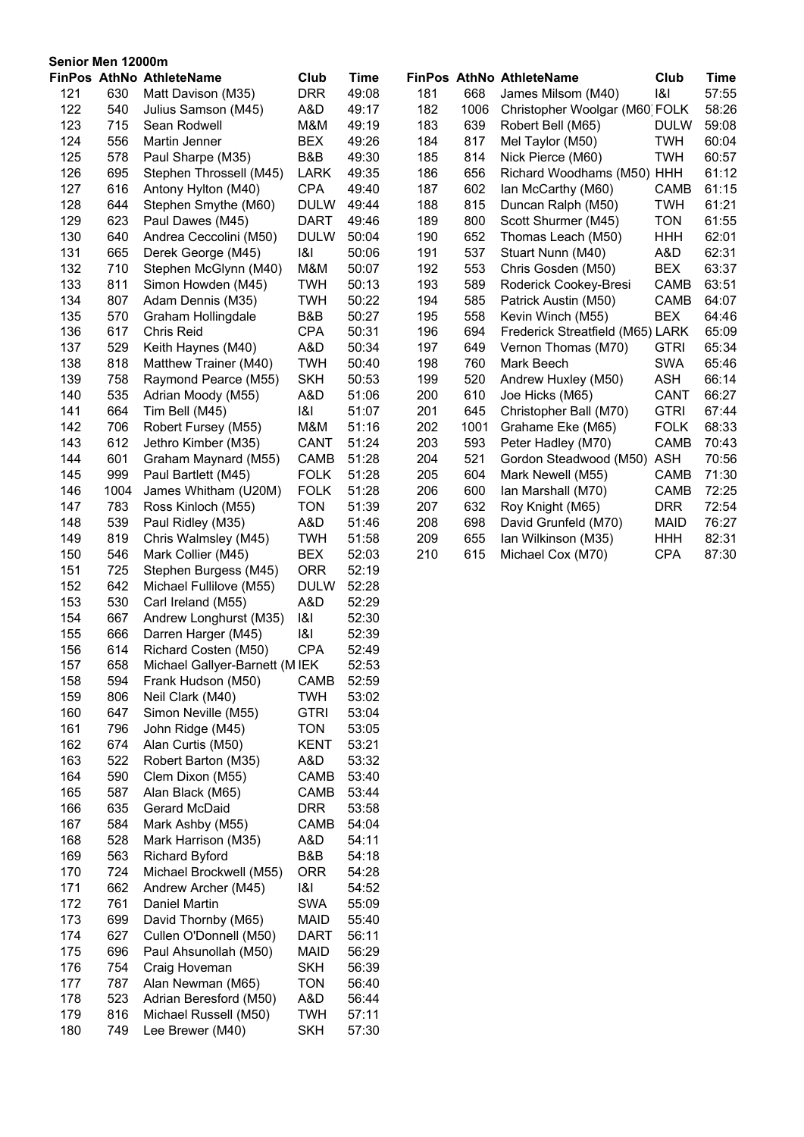|            | Senior Men 12000m |                                             |                     |                |            |            |                                             |                    |                |
|------------|-------------------|---------------------------------------------|---------------------|----------------|------------|------------|---------------------------------------------|--------------------|----------------|
|            |                   | FinPos AthNo AthleteName                    | Club                | <b>Time</b>    |            |            | FinPos AthNo AthleteName                    | Club               | Time           |
| 121        | 630               | Matt Davison (M35)                          | <b>DRR</b>          | 49:08          | 181        | 668        | James Milsom (M40)                          | 8                  | 57:55          |
| 122        | 540               | Julius Samson (M45)                         | A&D                 | 49:17          | 182        | 1006       | Christopher Woolgar (M60) FOLK              |                    | 58:26          |
| 123        | 715               | Sean Rodwell                                | M&M                 | 49:19          | 183        | 639        | Robert Bell (M65)                           | <b>DULW</b>        | 59:08          |
| 124        | 556               | Martin Jenner                               | <b>BEX</b>          | 49:26          | 184        | 817        | Mel Taylor (M50)                            | <b>TWH</b>         | 60:04          |
| 125        | 578               | Paul Sharpe (M35)                           | B&B                 | 49:30          | 185        | 814        | Nick Pierce (M60)                           | <b>TWH</b>         | 60:57          |
| 126        | 695               | Stephen Throssell (M45)                     | <b>LARK</b>         | 49:35          | 186        | 656        | Richard Woodhams (M50) HHH                  |                    | 61:12          |
| 127        | 616               | Antony Hylton (M40)                         | <b>CPA</b>          | 49:40          | 187        | 602        | Ian McCarthy (M60)                          | CAMB               | 61:15          |
| 128        | 644               | Stephen Smythe (M60)                        | <b>DULW</b>         | 49:44          | 188        | 815        | Duncan Ralph (M50)                          | <b>TWH</b>         | 61:21          |
| 129        | 623               | Paul Dawes (M45)                            | <b>DART</b>         | 49:46          | 189        | 800        | Scott Shurmer (M45)                         | <b>TON</b>         | 61:55          |
| 130        | 640               | Andrea Ceccolini (M50)                      | <b>DULW</b>         | 50:04          | 190        | 652        | Thomas Leach (M50)                          | HHH                | 62:01          |
| 131        | 665               | Derek George (M45)                          | 8                   | 50:06          | 191        | 537        | Stuart Nunn (M40)                           | A&D                | 62:31          |
| 132        | 710               | Stephen McGlynn (M40)                       | M&M                 | 50:07          | 192        | 553        | Chris Gosden (M50)                          | <b>BEX</b>         | 63:37          |
| 133        | 811               | Simon Howden (M45)                          | <b>TWH</b>          | 50:13          | 193        | 589        | Roderick Cookey-Bresi                       | CAMB               | 63:51          |
| 134        | 807               | Adam Dennis (M35)                           | <b>TWH</b>          | 50:22          | 194        | 585        | Patrick Austin (M50)                        | CAMB               | 64:07          |
| 135        | 570               | Graham Hollingdale                          | B&B                 | 50:27          | 195        | 558        | Kevin Winch (M55)                           | <b>BEX</b>         | 64:46          |
| 136        | 617               | <b>Chris Reid</b>                           | <b>CPA</b>          | 50:31          | 196        | 694        | Frederick Streatfield (M65) LARK            |                    | 65:09          |
| 137        | 529               | Keith Haynes (M40)                          | A&D                 | 50:34          | 197        | 649        | Vernon Thomas (M70)                         | <b>GTRI</b>        | 65:34          |
| 138        | 818               | Matthew Trainer (M40)                       | <b>TWH</b>          | 50:40          | 198        | 760        | Mark Beech                                  | <b>SWA</b>         | 65:46          |
| 139        | 758               | Raymond Pearce (M55)                        | <b>SKH</b>          | 50:53          | 199        | 520        | Andrew Huxley (M50)                         | <b>ASH</b>         | 66:14          |
| 140        | 535               | Adrian Moody (M55)                          | A&D                 | 51:06          | 200        | 610        | Joe Hicks (M65)                             | CANT               | 66:27          |
| 141        | 664               | Tim Bell (M45)                              | 8                   | 51:07          | 201        | 645        | Christopher Ball (M70)                      | <b>GTRI</b>        | 67:44          |
| 142        | 706               | Robert Fursey (M55)                         | M&M<br>CANT         | 51:16          | 202        | 1001       | Grahame Eke (M65)                           | <b>FOLK</b>        | 68:33          |
| 143        | 612               | Jethro Kimber (M35)                         |                     | 51:24          | 203<br>204 | 593<br>521 | Peter Hadley (M70)                          | CAMB               | 70:43          |
| 144<br>145 | 601<br>999        | Graham Maynard (M55)<br>Paul Bartlett (M45) | CAMB<br><b>FOLK</b> | 51:28<br>51:28 | 205        | 604        | Gordon Steadwood (M50)<br>Mark Newell (M55) | <b>ASH</b><br>CAMB | 70:56<br>71:30 |
| 146        | 1004              | James Whitham (U20M)                        | <b>FOLK</b>         | 51:28          | 206        | 600        | Ian Marshall (M70)                          | CAMB               | 72:25          |
| 147        | 783               | Ross Kinloch (M55)                          | <b>TON</b>          | 51:39          | 207        | 632        | Roy Knight (M65)                            | <b>DRR</b>         | 72:54          |
| 148        | 539               | Paul Ridley (M35)                           | A&D                 | 51:46          | 208        | 698        | David Grunfeld (M70)                        | <b>MAID</b>        | 76:27          |
| 149        | 819               | Chris Walmsley (M45)                        | <b>TWH</b>          | 51:58          | 209        | 655        | Ian Wilkinson (M35)                         | <b>HHH</b>         | 82:31          |
| 150        | 546               | Mark Collier (M45)                          | <b>BEX</b>          | 52:03          | 210        | 615        | Michael Cox (M70)                           | <b>CPA</b>         | 87:30          |
| 151        | 725               | Stephen Burgess (M45)                       | <b>ORR</b>          | 52:19          |            |            |                                             |                    |                |
| 152        | 642               | Michael Fullilove (M55)                     | <b>DULW</b>         | 52:28          |            |            |                                             |                    |                |
| 153        | 530               | Carl Ireland (M55)                          | A&D                 | 52:29          |            |            |                                             |                    |                |
| 154        | 667               | Andrew Longhurst (M35)                      | 8                   | 52:30          |            |            |                                             |                    |                |
| 155        | 666               | Darren Harger (M45)                         | 8                   | 52:39          |            |            |                                             |                    |                |
| 156        | 614               | Richard Costen (M50)                        | <b>CPA</b>          | 52:49          |            |            |                                             |                    |                |
| 157        | 658               | Michael Gallyer-Barnett (M IEK              |                     | 52:53          |            |            |                                             |                    |                |
| 158        | 594               | Frank Hudson (M50)                          | CAMB                | 52:59          |            |            |                                             |                    |                |
| 159        | 806               | Neil Clark (M40)                            | <b>TWH</b>          | 53:02          |            |            |                                             |                    |                |
| 160        | 647               | Simon Neville (M55)                         | <b>GTRI</b>         | 53:04          |            |            |                                             |                    |                |
| 161        | 796               | John Ridge (M45)                            | <b>TON</b>          | 53:05          |            |            |                                             |                    |                |
| 162        | 674               | Alan Curtis (M50)                           | <b>KENT</b>         | 53:21          |            |            |                                             |                    |                |
| 163        | 522               | Robert Barton (M35)                         | A&D                 | 53:32          |            |            |                                             |                    |                |
| 164        | 590               | Clem Dixon (M55)                            | CAMB                | 53:40          |            |            |                                             |                    |                |
| 165        | 587               | Alan Black (M65)                            | CAMB                | 53:44          |            |            |                                             |                    |                |
| 166        | 635               | Gerard McDaid                               | <b>DRR</b>          | 53:58          |            |            |                                             |                    |                |
| 167        | 584               | Mark Ashby (M55)                            | CAMB                | 54:04          |            |            |                                             |                    |                |
| 168        | 528               | Mark Harrison (M35)                         | A&D                 | 54:11          |            |            |                                             |                    |                |
| 169        | 563               | <b>Richard Byford</b>                       | B&B                 | 54:18          |            |            |                                             |                    |                |
| 170        | 724               | Michael Brockwell (M55)                     | <b>ORR</b>          | 54:28          |            |            |                                             |                    |                |
| 171        | 662               | Andrew Archer (M45)                         | 8                   | 54:52          |            |            |                                             |                    |                |
| 172        | 761               | Daniel Martin                               | <b>SWA</b>          | 55:09          |            |            |                                             |                    |                |
| 173        | 699               | David Thornby (M65)                         | <b>MAID</b>         | 55:40          |            |            |                                             |                    |                |
| 174        | 627               | Cullen O'Donnell (M50)                      | <b>DART</b>         | 56:11          |            |            |                                             |                    |                |
| 175        | 696               | Paul Ahsunollah (M50)                       | <b>MAID</b>         | 56:29          |            |            |                                             |                    |                |
| 176        | 754               | Craig Hoveman                               | <b>SKH</b>          | 56:39          |            |            |                                             |                    |                |
| 177        | 787               | Alan Newman (M65)                           | <b>TON</b>          | 56:40          |            |            |                                             |                    |                |
| 178        | 523               | Adrian Beresford (M50)                      | A&D                 | 56:44          |            |            |                                             |                    |                |
| 179        | 816               | Michael Russell (M50)                       | <b>TWH</b>          | 57:11          |            |            |                                             |                    |                |
| 180        | 749               | Lee Brewer (M40)                            | <b>SKH</b>          | 57:30          |            |            |                                             |                    |                |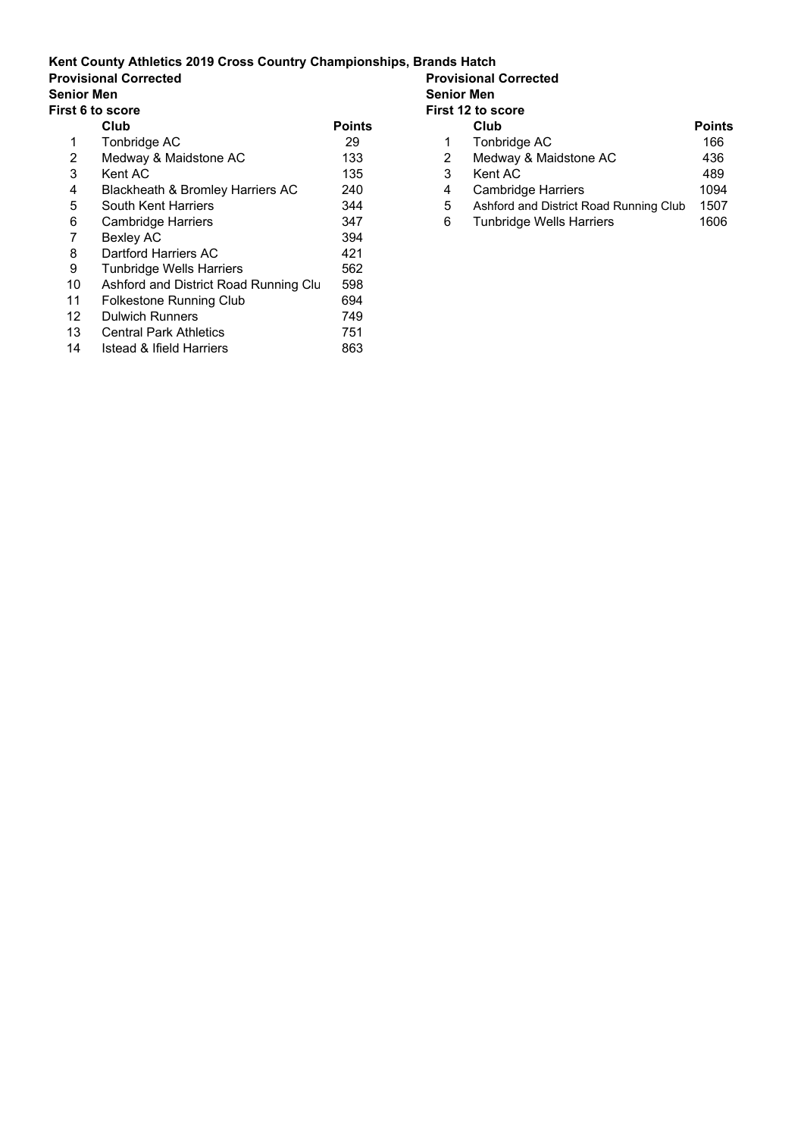**Provisional Corrected**<br>**Senior Men** 

**Senior Men Senior Men**

| First 6 to score |                                       |               | First 12 to score |                                        |              |
|------------------|---------------------------------------|---------------|-------------------|----------------------------------------|--------------|
|                  | Club                                  | <b>Points</b> |                   | Club                                   | <b>Point</b> |
| 1                | Tonbridge AC                          | 29            |                   | Tonbridge AC                           | 166          |
| 2                | Medway & Maidstone AC                 | 133           | 2                 | Medway & Maidstone AC                  | 436          |
| 3                | Kent AC                               | 135           | 3                 | Kent AC                                | 489          |
| 4                | Blackheath & Bromley Harriers AC      | 240           | 4                 | Cambridge Harriers                     | 1094         |
| 5                | South Kent Harriers                   | 344           | 5                 | Ashford and District Road Running Club | 1507         |
| 6                | <b>Cambridge Harriers</b>             | 347           | 6                 | <b>Tunbridge Wells Harriers</b>        | 1606         |
|                  | Bexley AC                             | 394           |                   |                                        |              |
| 8                | Dartford Harriers AC                  | 421           |                   |                                        |              |
| 9                | <b>Tunbridge Wells Harriers</b>       | 562           |                   |                                        |              |
| 10               | Ashford and District Road Running Clu | 598           |                   |                                        |              |
| 11               | Folkestone Running Club               | 694           |                   |                                        |              |
| 12 <sup>2</sup>  | <b>Dulwich Runners</b>                | 749           |                   |                                        |              |
| 13               | <b>Central Park Athletics</b>         | 751           |                   |                                        |              |
| 14               | Istead & Ifield Harriers              | 863           |                   |                                        |              |

| score                            |               | <b>First 12 to score</b> |                                        |               |
|----------------------------------|---------------|--------------------------|----------------------------------------|---------------|
| Club                             | <b>Points</b> |                          | Club                                   | <b>Points</b> |
| Tonbridge AC                     | 29            |                          | Tonbridge AC                           | 166           |
| Medway & Maidstone AC            | 133           |                          | Medway & Maidstone AC                  | 436           |
| Kent AC .                        | 135           |                          | Kent AC                                | 489           |
| Blackheath & Bromley Harriers AC | 240           | 4                        | <b>Cambridge Harriers</b>              | 1094          |
| South Kent Harriers              | 344           | 5                        | Ashford and District Road Running Club | 1507          |
| Cambridge Harriers               | 347           | 6                        | <b>Tunbridge Wells Harriers</b>        | 1606          |
|                                  |               |                          |                                        |               |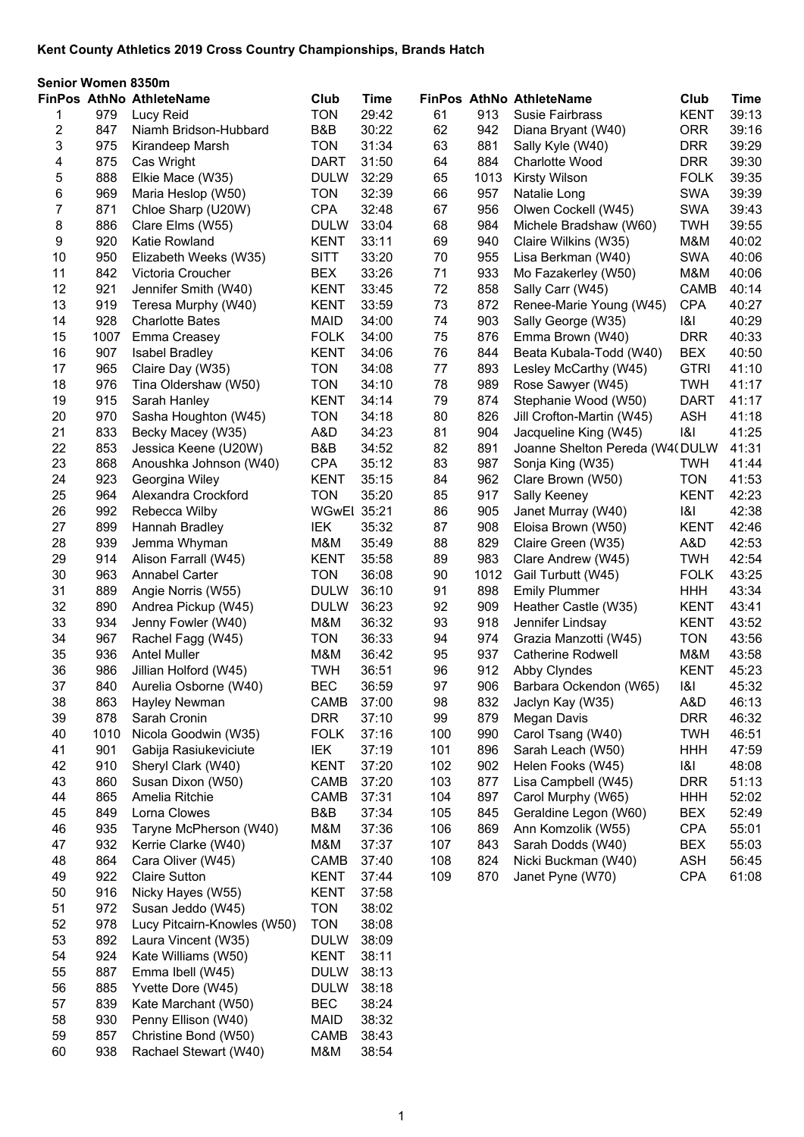| <b>FinPos AthNo AthleteName</b><br>Club<br><b>Time</b><br>FinPos AthNo AthleteName<br>Club<br><b>Time</b><br>979<br><b>TON</b><br>29:42<br>61<br>913<br><b>KENT</b><br>39:13<br>Lucy Reid<br>Susie Fairbrass<br>1<br>30:22<br>62<br>2<br>847<br>B&B<br>942<br><b>ORR</b><br>39:16<br>Niamh Bridson-Hubbard<br>Diana Bryant (W40)<br>3<br>39:29<br>975<br><b>TON</b><br>31:34<br>63<br>881<br><b>DRR</b><br>Kirandeep Marsh<br>Sally Kyle (W40)<br>875<br>4<br><b>DART</b><br>31:50<br>64<br>884<br><b>DRR</b><br>39:30<br>Cas Wright<br>Charlotte Wood<br>5<br>888<br><b>DULW</b><br>32:29<br>65<br>1013<br><b>FOLK</b><br>39:35<br>Elkie Mace (W35)<br><b>Kirsty Wilson</b><br>6<br>969<br><b>TON</b><br>32:39<br>66<br>957<br><b>SWA</b><br>39:39<br>Maria Heslop (W50)<br>Natalie Long<br>7<br><b>SWA</b><br>871<br><b>CPA</b><br>32:48<br>67<br>956<br>39:43<br>Chloe Sharp (U20W)<br>Olwen Cockell (W45)<br>8<br>886<br>39:55<br><b>DULW</b><br>33:04<br>68<br>984<br><b>TWH</b><br>Clare Elms (W55)<br>Michele Bradshaw (W60)<br>920<br>9<br><b>KENT</b><br>33:11<br>69<br>940<br>M&M<br>40:02<br>Katie Rowland<br>Claire Wilkins (W35)<br>950<br><b>SITT</b><br>33:20<br>70<br>955<br><b>SWA</b><br>40:06<br>10<br>Elizabeth Weeks (W35)<br>Lisa Berkman (W40)<br>11<br>842<br><b>BEX</b><br>33:26<br>71<br>933<br>M&M<br>40:06<br>Victoria Croucher<br>Mo Fazakerley (W50)<br>72<br>12<br>921<br><b>KENT</b><br>33:45<br>858<br>CAMB<br>40:14<br>Jennifer Smith (W40)<br>Sally Carr (W45)<br>73<br>13<br>919<br><b>KENT</b><br>33:59<br>872<br><b>CPA</b><br>40:27<br>Teresa Murphy (W40)<br>Renee-Marie Young (W45)<br>928<br><b>MAID</b><br>34:00<br>74<br>903<br> 8 <br>40:29<br>14<br><b>Charlotte Bates</b><br>Sally George (W35)<br><b>DRR</b><br>15<br>1007<br>Emma Creasey<br><b>FOLK</b><br>34:00<br>75<br>876<br>40:33<br>Emma Brown (W40)<br>907<br>76<br>16<br><b>KENT</b><br>34:06<br>844<br><b>BEX</b><br>40:50<br><b>Isabel Bradley</b><br>Beata Kubala-Todd (W40)<br>965<br><b>TON</b><br>34:08<br>77<br>893<br><b>GTRI</b><br>41:10<br>17<br>Claire Day (W35)<br>Lesley McCarthy (W45)<br>976<br>78<br><b>TON</b><br>34:10<br>989<br><b>TWH</b><br>41:17<br>18<br>Tina Oldershaw (W50)<br>Rose Sawyer (W45)<br>915<br>79<br>874<br><b>KENT</b><br>34:14<br>Stephanie Wood (W50)<br><b>DART</b><br>41:17<br>19<br>Sarah Hanley<br>970<br><b>ASH</b><br>20<br><b>TON</b><br>34:18<br>80<br>826<br>41:18<br>Sasha Houghton (W45)<br>Jill Crofton-Martin (W45)<br>833<br>34:23<br>81<br>41:25<br>21<br>Becky Macey (W35)<br>A&D<br>904<br> 8 <br>Jacqueline King (W45)<br>853<br>22<br>B&B<br>34:52<br>82<br>891<br>41:31<br>Jessica Keene (U20W)<br>Joanne Shelton Pereda (W4(DULW<br>83<br>23<br>868<br><b>CPA</b><br>35:12<br>987<br>41:44<br>Anoushka Johnson (W40)<br>Sonja King (W35)<br><b>TWH</b><br>24<br>923<br>35:15<br>84<br>962<br><b>TON</b><br>41:53<br>Georgina Wiley<br><b>KENT</b><br>Clare Brown (W50)<br>25<br>964<br><b>TON</b><br>35:20<br>85<br>917<br><b>KENT</b><br>42:23<br>Alexandra Crockford<br>Sally Keeney<br>992<br>42:38<br><b>WGwEl 35:21</b><br>86<br>905<br> 8 <br>26<br>Rebecca Wilby<br>Janet Murray (W40)<br>87<br>27<br>899<br>IEK<br>35:32<br>908<br><b>KENT</b><br>42:46<br>Hannah Bradley<br>Eloisa Brown (W50)<br>939<br>42:53<br>28<br>M&M<br>35:49<br>88<br>829<br>A&D<br>Jemma Whyman<br>Claire Green (W35)<br>89<br>42:54<br>29<br>914<br>35:58<br>983<br><b>TWH</b><br>Alison Farrall (W45)<br><b>KENT</b><br>Clare Andrew (W45)<br>963<br><b>TON</b><br>36:08<br>90<br><b>FOLK</b><br>43:25<br>30<br><b>Annabel Carter</b><br>1012<br>Gail Turbutt (W45)<br>889<br><b>DULW</b><br>91<br>43:34<br>31<br>Angie Norris (W55)<br>36:10<br>898<br><b>Emily Plummer</b><br><b>HHH</b><br>32<br>890<br><b>DULW</b><br>36:23<br>92<br>909<br><b>KENT</b><br>43:41<br>Andrea Pickup (W45)<br>Heather Castle (W35)<br>33<br>934<br>M&M<br>36:32<br>93<br>918<br>43:52<br>Jenny Fowler (W40)<br>Jennifer Lindsay<br><b>KENT</b><br>967<br><b>TON</b><br>36:33<br>974<br><b>TON</b><br>43:56<br>34<br>94<br>Grazia Manzotti (W45)<br>Rachel Fagg (W45)<br>35<br>936<br>M&M<br>36:42<br>95<br>937<br>M&M<br>43:58<br><b>Antel Muller</b><br><b>Catherine Rodwell</b><br>36<br>986<br><b>TWH</b><br>36:51<br>96<br>912<br>45:23<br>Jillian Holford (W45)<br>Abby Clyndes<br><b>KENT</b><br>37<br>840<br>Aurelia Osborne (W40)<br><b>BEC</b><br>36:59<br>97<br>906<br>Barbara Ockendon (W65)<br> 8 <br>45:32<br>38<br>863<br>37:00<br>832<br>A&D<br>46:13<br>Hayley Newman<br>CAMB<br>98<br>Jaclyn Kay (W35)<br>878<br><b>DRR</b><br>879<br><b>DRR</b><br>46:32<br>39<br>Sarah Cronin<br>37:10<br>99<br>Megan Davis<br>40<br>1010<br>Nicola Goodwin (W35)<br><b>FOLK</b><br>37:16<br>990<br>Carol Tsang (W40)<br><b>TWH</b><br>46:51<br>100<br>41<br>901<br>Gabija Rasiukeviciute<br><b>IEK</b><br>37:19<br>101<br>896<br>47:59<br>Sarah Leach (W50)<br><b>HHH</b><br>910<br>Sheryl Clark (W40)<br><b>KENT</b><br>37:20<br>102<br>902<br> 8 <br>48:08<br>42<br>Helen Fooks (W45)<br>43<br>860<br>Susan Dixon (W50)<br>37:20<br>103<br>877<br>Lisa Campbell (W45)<br><b>DRR</b><br>51:13<br>CAMB<br>865<br>Amelia Ritchie<br>CAMB<br>37:31<br>104<br>897<br>Carol Murphy (W65)<br>52:02<br>44<br><b>HHH</b><br>849<br>Lorna Clowes<br>B&B<br>37:34<br>845<br>Geraldine Legon (W60)<br><b>BEX</b><br>52:49<br>45<br>105<br>935<br>Taryne McPherson (W40)<br>M&M<br>37:36<br>106<br>869<br>Ann Komzolik (W55)<br><b>CPA</b><br>55:01<br>46<br>932<br>Kerrie Clarke (W40)<br>M&M<br>37:37<br>843<br>Sarah Dodds (W40)<br><b>BEX</b><br>55:03<br>47<br>107<br>864<br>48<br>Cara Oliver (W45)<br>824<br>Nicki Buckman (W40)<br><b>ASH</b><br>56:45<br>CAMB<br>37:40<br>108<br>922<br><b>Claire Sutton</b><br>109<br>870<br>Janet Pyne (W70)<br><b>CPA</b><br>61:08<br>49<br><b>KENT</b><br>37:44<br>916<br><b>KENT</b><br>50<br>Nicky Hayes (W55)<br>37:58<br>51<br>972<br>Susan Jeddo (W45)<br><b>TON</b><br>38:02<br>52<br>978<br>Lucy Pitcairn-Knowles (W50)<br><b>TON</b><br>38:08<br>53<br>892<br>Laura Vincent (W35)<br><b>DULW</b><br>38:09<br>54<br>924<br>Kate Williams (W50)<br><b>KENT</b><br>38:11<br>55<br>887<br>38:13<br>Emma Ibell (W45)<br><b>DULW</b><br>885<br>Yvette Dore (W45)<br>38:18<br>56<br><b>DULW</b> | Senior Women 8350m |     |                     |            |       |  |  |  |  |  |
|-------------------------------------------------------------------------------------------------------------------------------------------------------------------------------------------------------------------------------------------------------------------------------------------------------------------------------------------------------------------------------------------------------------------------------------------------------------------------------------------------------------------------------------------------------------------------------------------------------------------------------------------------------------------------------------------------------------------------------------------------------------------------------------------------------------------------------------------------------------------------------------------------------------------------------------------------------------------------------------------------------------------------------------------------------------------------------------------------------------------------------------------------------------------------------------------------------------------------------------------------------------------------------------------------------------------------------------------------------------------------------------------------------------------------------------------------------------------------------------------------------------------------------------------------------------------------------------------------------------------------------------------------------------------------------------------------------------------------------------------------------------------------------------------------------------------------------------------------------------------------------------------------------------------------------------------------------------------------------------------------------------------------------------------------------------------------------------------------------------------------------------------------------------------------------------------------------------------------------------------------------------------------------------------------------------------------------------------------------------------------------------------------------------------------------------------------------------------------------------------------------------------------------------------------------------------------------------------------------------------------------------------------------------------------------------------------------------------------------------------------------------------------------------------------------------------------------------------------------------------------------------------------------------------------------------------------------------------------------------------------------------------------------------------------------------------------------------------------------------------------------------------------------------------------------------------------------------------------------------------------------------------------------------------------------------------------------------------------------------------------------------------------------------------------------------------------------------------------------------------------------------------------------------------------------------------------------------------------------------------------------------------------------------------------------------------------------------------------------------------------------------------------------------------------------------------------------------------------------------------------------------------------------------------------------------------------------------------------------------------------------------------------------------------------------------------------------------------------------------------------------------------------------------------------------------------------------------------------------------------------------------------------------------------------------------------------------------------------------------------------------------------------------------------------------------------------------------------------------------------------------------------------------------------------------------------------------------------------------------------------------------------------------------------------------------------------------------------------------------------------------------------------------------------------------------------------------------------------------------------------------------------------------------------------------------------------------------------------------------------------------------------------------------------------------------------------------------------------------------------------------------------------------------------------------------------------------------------------------------------------------------------------------------------------------------------------------------------------------------------------------------------------------------------------------------------------------------------------------------------------------------------------------------------------------------------------------------------------------------------------------------------------------------------------------------------------------------------------------------------------------------------------------------------------------------------------------------------------------------------------------------------------------------------------------------------------------------------------------------------------------------------------------------------------------------------------------------------------------------------------------------------------------------------------------------------------------------------------------------------------------------------------------------|--------------------|-----|---------------------|------------|-------|--|--|--|--|--|
|                                                                                                                                                                                                                                                                                                                                                                                                                                                                                                                                                                                                                                                                                                                                                                                                                                                                                                                                                                                                                                                                                                                                                                                                                                                                                                                                                                                                                                                                                                                                                                                                                                                                                                                                                                                                                                                                                                                                                                                                                                                                                                                                                                                                                                                                                                                                                                                                                                                                                                                                                                                                                                                                                                                                                                                                                                                                                                                                                                                                                                                                                                                                                                                                                                                                                                                                                                                                                                                                                                                                                                                                                                                                                                                                                                                                                                                                                                                                                                                                                                                                                                                                                                                                                                                                                                                                                                                                                                                                                                                                                                                                                                                                                                                                                                                                                                                                                                                                                                                                                                                                                                                                                                                                                                                                                                                                                                                                                                                                                                                                                                                                                                                                                                                                                                                                                                                                                                                                                                                                                                                                                                                                                                                                                                                                                     |                    |     |                     |            |       |  |  |  |  |  |
|                                                                                                                                                                                                                                                                                                                                                                                                                                                                                                                                                                                                                                                                                                                                                                                                                                                                                                                                                                                                                                                                                                                                                                                                                                                                                                                                                                                                                                                                                                                                                                                                                                                                                                                                                                                                                                                                                                                                                                                                                                                                                                                                                                                                                                                                                                                                                                                                                                                                                                                                                                                                                                                                                                                                                                                                                                                                                                                                                                                                                                                                                                                                                                                                                                                                                                                                                                                                                                                                                                                                                                                                                                                                                                                                                                                                                                                                                                                                                                                                                                                                                                                                                                                                                                                                                                                                                                                                                                                                                                                                                                                                                                                                                                                                                                                                                                                                                                                                                                                                                                                                                                                                                                                                                                                                                                                                                                                                                                                                                                                                                                                                                                                                                                                                                                                                                                                                                                                                                                                                                                                                                                                                                                                                                                                                                     |                    |     |                     |            |       |  |  |  |  |  |
|                                                                                                                                                                                                                                                                                                                                                                                                                                                                                                                                                                                                                                                                                                                                                                                                                                                                                                                                                                                                                                                                                                                                                                                                                                                                                                                                                                                                                                                                                                                                                                                                                                                                                                                                                                                                                                                                                                                                                                                                                                                                                                                                                                                                                                                                                                                                                                                                                                                                                                                                                                                                                                                                                                                                                                                                                                                                                                                                                                                                                                                                                                                                                                                                                                                                                                                                                                                                                                                                                                                                                                                                                                                                                                                                                                                                                                                                                                                                                                                                                                                                                                                                                                                                                                                                                                                                                                                                                                                                                                                                                                                                                                                                                                                                                                                                                                                                                                                                                                                                                                                                                                                                                                                                                                                                                                                                                                                                                                                                                                                                                                                                                                                                                                                                                                                                                                                                                                                                                                                                                                                                                                                                                                                                                                                                                     |                    |     |                     |            |       |  |  |  |  |  |
|                                                                                                                                                                                                                                                                                                                                                                                                                                                                                                                                                                                                                                                                                                                                                                                                                                                                                                                                                                                                                                                                                                                                                                                                                                                                                                                                                                                                                                                                                                                                                                                                                                                                                                                                                                                                                                                                                                                                                                                                                                                                                                                                                                                                                                                                                                                                                                                                                                                                                                                                                                                                                                                                                                                                                                                                                                                                                                                                                                                                                                                                                                                                                                                                                                                                                                                                                                                                                                                                                                                                                                                                                                                                                                                                                                                                                                                                                                                                                                                                                                                                                                                                                                                                                                                                                                                                                                                                                                                                                                                                                                                                                                                                                                                                                                                                                                                                                                                                                                                                                                                                                                                                                                                                                                                                                                                                                                                                                                                                                                                                                                                                                                                                                                                                                                                                                                                                                                                                                                                                                                                                                                                                                                                                                                                                                     |                    |     |                     |            |       |  |  |  |  |  |
|                                                                                                                                                                                                                                                                                                                                                                                                                                                                                                                                                                                                                                                                                                                                                                                                                                                                                                                                                                                                                                                                                                                                                                                                                                                                                                                                                                                                                                                                                                                                                                                                                                                                                                                                                                                                                                                                                                                                                                                                                                                                                                                                                                                                                                                                                                                                                                                                                                                                                                                                                                                                                                                                                                                                                                                                                                                                                                                                                                                                                                                                                                                                                                                                                                                                                                                                                                                                                                                                                                                                                                                                                                                                                                                                                                                                                                                                                                                                                                                                                                                                                                                                                                                                                                                                                                                                                                                                                                                                                                                                                                                                                                                                                                                                                                                                                                                                                                                                                                                                                                                                                                                                                                                                                                                                                                                                                                                                                                                                                                                                                                                                                                                                                                                                                                                                                                                                                                                                                                                                                                                                                                                                                                                                                                                                                     |                    |     |                     |            |       |  |  |  |  |  |
|                                                                                                                                                                                                                                                                                                                                                                                                                                                                                                                                                                                                                                                                                                                                                                                                                                                                                                                                                                                                                                                                                                                                                                                                                                                                                                                                                                                                                                                                                                                                                                                                                                                                                                                                                                                                                                                                                                                                                                                                                                                                                                                                                                                                                                                                                                                                                                                                                                                                                                                                                                                                                                                                                                                                                                                                                                                                                                                                                                                                                                                                                                                                                                                                                                                                                                                                                                                                                                                                                                                                                                                                                                                                                                                                                                                                                                                                                                                                                                                                                                                                                                                                                                                                                                                                                                                                                                                                                                                                                                                                                                                                                                                                                                                                                                                                                                                                                                                                                                                                                                                                                                                                                                                                                                                                                                                                                                                                                                                                                                                                                                                                                                                                                                                                                                                                                                                                                                                                                                                                                                                                                                                                                                                                                                                                                     |                    |     |                     |            |       |  |  |  |  |  |
|                                                                                                                                                                                                                                                                                                                                                                                                                                                                                                                                                                                                                                                                                                                                                                                                                                                                                                                                                                                                                                                                                                                                                                                                                                                                                                                                                                                                                                                                                                                                                                                                                                                                                                                                                                                                                                                                                                                                                                                                                                                                                                                                                                                                                                                                                                                                                                                                                                                                                                                                                                                                                                                                                                                                                                                                                                                                                                                                                                                                                                                                                                                                                                                                                                                                                                                                                                                                                                                                                                                                                                                                                                                                                                                                                                                                                                                                                                                                                                                                                                                                                                                                                                                                                                                                                                                                                                                                                                                                                                                                                                                                                                                                                                                                                                                                                                                                                                                                                                                                                                                                                                                                                                                                                                                                                                                                                                                                                                                                                                                                                                                                                                                                                                                                                                                                                                                                                                                                                                                                                                                                                                                                                                                                                                                                                     |                    |     |                     |            |       |  |  |  |  |  |
|                                                                                                                                                                                                                                                                                                                                                                                                                                                                                                                                                                                                                                                                                                                                                                                                                                                                                                                                                                                                                                                                                                                                                                                                                                                                                                                                                                                                                                                                                                                                                                                                                                                                                                                                                                                                                                                                                                                                                                                                                                                                                                                                                                                                                                                                                                                                                                                                                                                                                                                                                                                                                                                                                                                                                                                                                                                                                                                                                                                                                                                                                                                                                                                                                                                                                                                                                                                                                                                                                                                                                                                                                                                                                                                                                                                                                                                                                                                                                                                                                                                                                                                                                                                                                                                                                                                                                                                                                                                                                                                                                                                                                                                                                                                                                                                                                                                                                                                                                                                                                                                                                                                                                                                                                                                                                                                                                                                                                                                                                                                                                                                                                                                                                                                                                                                                                                                                                                                                                                                                                                                                                                                                                                                                                                                                                     |                    |     |                     |            |       |  |  |  |  |  |
|                                                                                                                                                                                                                                                                                                                                                                                                                                                                                                                                                                                                                                                                                                                                                                                                                                                                                                                                                                                                                                                                                                                                                                                                                                                                                                                                                                                                                                                                                                                                                                                                                                                                                                                                                                                                                                                                                                                                                                                                                                                                                                                                                                                                                                                                                                                                                                                                                                                                                                                                                                                                                                                                                                                                                                                                                                                                                                                                                                                                                                                                                                                                                                                                                                                                                                                                                                                                                                                                                                                                                                                                                                                                                                                                                                                                                                                                                                                                                                                                                                                                                                                                                                                                                                                                                                                                                                                                                                                                                                                                                                                                                                                                                                                                                                                                                                                                                                                                                                                                                                                                                                                                                                                                                                                                                                                                                                                                                                                                                                                                                                                                                                                                                                                                                                                                                                                                                                                                                                                                                                                                                                                                                                                                                                                                                     |                    |     |                     |            |       |  |  |  |  |  |
|                                                                                                                                                                                                                                                                                                                                                                                                                                                                                                                                                                                                                                                                                                                                                                                                                                                                                                                                                                                                                                                                                                                                                                                                                                                                                                                                                                                                                                                                                                                                                                                                                                                                                                                                                                                                                                                                                                                                                                                                                                                                                                                                                                                                                                                                                                                                                                                                                                                                                                                                                                                                                                                                                                                                                                                                                                                                                                                                                                                                                                                                                                                                                                                                                                                                                                                                                                                                                                                                                                                                                                                                                                                                                                                                                                                                                                                                                                                                                                                                                                                                                                                                                                                                                                                                                                                                                                                                                                                                                                                                                                                                                                                                                                                                                                                                                                                                                                                                                                                                                                                                                                                                                                                                                                                                                                                                                                                                                                                                                                                                                                                                                                                                                                                                                                                                                                                                                                                                                                                                                                                                                                                                                                                                                                                                                     |                    |     |                     |            |       |  |  |  |  |  |
|                                                                                                                                                                                                                                                                                                                                                                                                                                                                                                                                                                                                                                                                                                                                                                                                                                                                                                                                                                                                                                                                                                                                                                                                                                                                                                                                                                                                                                                                                                                                                                                                                                                                                                                                                                                                                                                                                                                                                                                                                                                                                                                                                                                                                                                                                                                                                                                                                                                                                                                                                                                                                                                                                                                                                                                                                                                                                                                                                                                                                                                                                                                                                                                                                                                                                                                                                                                                                                                                                                                                                                                                                                                                                                                                                                                                                                                                                                                                                                                                                                                                                                                                                                                                                                                                                                                                                                                                                                                                                                                                                                                                                                                                                                                                                                                                                                                                                                                                                                                                                                                                                                                                                                                                                                                                                                                                                                                                                                                                                                                                                                                                                                                                                                                                                                                                                                                                                                                                                                                                                                                                                                                                                                                                                                                                                     |                    |     |                     |            |       |  |  |  |  |  |
|                                                                                                                                                                                                                                                                                                                                                                                                                                                                                                                                                                                                                                                                                                                                                                                                                                                                                                                                                                                                                                                                                                                                                                                                                                                                                                                                                                                                                                                                                                                                                                                                                                                                                                                                                                                                                                                                                                                                                                                                                                                                                                                                                                                                                                                                                                                                                                                                                                                                                                                                                                                                                                                                                                                                                                                                                                                                                                                                                                                                                                                                                                                                                                                                                                                                                                                                                                                                                                                                                                                                                                                                                                                                                                                                                                                                                                                                                                                                                                                                                                                                                                                                                                                                                                                                                                                                                                                                                                                                                                                                                                                                                                                                                                                                                                                                                                                                                                                                                                                                                                                                                                                                                                                                                                                                                                                                                                                                                                                                                                                                                                                                                                                                                                                                                                                                                                                                                                                                                                                                                                                                                                                                                                                                                                                                                     |                    |     |                     |            |       |  |  |  |  |  |
|                                                                                                                                                                                                                                                                                                                                                                                                                                                                                                                                                                                                                                                                                                                                                                                                                                                                                                                                                                                                                                                                                                                                                                                                                                                                                                                                                                                                                                                                                                                                                                                                                                                                                                                                                                                                                                                                                                                                                                                                                                                                                                                                                                                                                                                                                                                                                                                                                                                                                                                                                                                                                                                                                                                                                                                                                                                                                                                                                                                                                                                                                                                                                                                                                                                                                                                                                                                                                                                                                                                                                                                                                                                                                                                                                                                                                                                                                                                                                                                                                                                                                                                                                                                                                                                                                                                                                                                                                                                                                                                                                                                                                                                                                                                                                                                                                                                                                                                                                                                                                                                                                                                                                                                                                                                                                                                                                                                                                                                                                                                                                                                                                                                                                                                                                                                                                                                                                                                                                                                                                                                                                                                                                                                                                                                                                     |                    |     |                     |            |       |  |  |  |  |  |
|                                                                                                                                                                                                                                                                                                                                                                                                                                                                                                                                                                                                                                                                                                                                                                                                                                                                                                                                                                                                                                                                                                                                                                                                                                                                                                                                                                                                                                                                                                                                                                                                                                                                                                                                                                                                                                                                                                                                                                                                                                                                                                                                                                                                                                                                                                                                                                                                                                                                                                                                                                                                                                                                                                                                                                                                                                                                                                                                                                                                                                                                                                                                                                                                                                                                                                                                                                                                                                                                                                                                                                                                                                                                                                                                                                                                                                                                                                                                                                                                                                                                                                                                                                                                                                                                                                                                                                                                                                                                                                                                                                                                                                                                                                                                                                                                                                                                                                                                                                                                                                                                                                                                                                                                                                                                                                                                                                                                                                                                                                                                                                                                                                                                                                                                                                                                                                                                                                                                                                                                                                                                                                                                                                                                                                                                                     |                    |     |                     |            |       |  |  |  |  |  |
|                                                                                                                                                                                                                                                                                                                                                                                                                                                                                                                                                                                                                                                                                                                                                                                                                                                                                                                                                                                                                                                                                                                                                                                                                                                                                                                                                                                                                                                                                                                                                                                                                                                                                                                                                                                                                                                                                                                                                                                                                                                                                                                                                                                                                                                                                                                                                                                                                                                                                                                                                                                                                                                                                                                                                                                                                                                                                                                                                                                                                                                                                                                                                                                                                                                                                                                                                                                                                                                                                                                                                                                                                                                                                                                                                                                                                                                                                                                                                                                                                                                                                                                                                                                                                                                                                                                                                                                                                                                                                                                                                                                                                                                                                                                                                                                                                                                                                                                                                                                                                                                                                                                                                                                                                                                                                                                                                                                                                                                                                                                                                                                                                                                                                                                                                                                                                                                                                                                                                                                                                                                                                                                                                                                                                                                                                     |                    |     |                     |            |       |  |  |  |  |  |
|                                                                                                                                                                                                                                                                                                                                                                                                                                                                                                                                                                                                                                                                                                                                                                                                                                                                                                                                                                                                                                                                                                                                                                                                                                                                                                                                                                                                                                                                                                                                                                                                                                                                                                                                                                                                                                                                                                                                                                                                                                                                                                                                                                                                                                                                                                                                                                                                                                                                                                                                                                                                                                                                                                                                                                                                                                                                                                                                                                                                                                                                                                                                                                                                                                                                                                                                                                                                                                                                                                                                                                                                                                                                                                                                                                                                                                                                                                                                                                                                                                                                                                                                                                                                                                                                                                                                                                                                                                                                                                                                                                                                                                                                                                                                                                                                                                                                                                                                                                                                                                                                                                                                                                                                                                                                                                                                                                                                                                                                                                                                                                                                                                                                                                                                                                                                                                                                                                                                                                                                                                                                                                                                                                                                                                                                                     |                    |     |                     |            |       |  |  |  |  |  |
|                                                                                                                                                                                                                                                                                                                                                                                                                                                                                                                                                                                                                                                                                                                                                                                                                                                                                                                                                                                                                                                                                                                                                                                                                                                                                                                                                                                                                                                                                                                                                                                                                                                                                                                                                                                                                                                                                                                                                                                                                                                                                                                                                                                                                                                                                                                                                                                                                                                                                                                                                                                                                                                                                                                                                                                                                                                                                                                                                                                                                                                                                                                                                                                                                                                                                                                                                                                                                                                                                                                                                                                                                                                                                                                                                                                                                                                                                                                                                                                                                                                                                                                                                                                                                                                                                                                                                                                                                                                                                                                                                                                                                                                                                                                                                                                                                                                                                                                                                                                                                                                                                                                                                                                                                                                                                                                                                                                                                                                                                                                                                                                                                                                                                                                                                                                                                                                                                                                                                                                                                                                                                                                                                                                                                                                                                     |                    |     |                     |            |       |  |  |  |  |  |
|                                                                                                                                                                                                                                                                                                                                                                                                                                                                                                                                                                                                                                                                                                                                                                                                                                                                                                                                                                                                                                                                                                                                                                                                                                                                                                                                                                                                                                                                                                                                                                                                                                                                                                                                                                                                                                                                                                                                                                                                                                                                                                                                                                                                                                                                                                                                                                                                                                                                                                                                                                                                                                                                                                                                                                                                                                                                                                                                                                                                                                                                                                                                                                                                                                                                                                                                                                                                                                                                                                                                                                                                                                                                                                                                                                                                                                                                                                                                                                                                                                                                                                                                                                                                                                                                                                                                                                                                                                                                                                                                                                                                                                                                                                                                                                                                                                                                                                                                                                                                                                                                                                                                                                                                                                                                                                                                                                                                                                                                                                                                                                                                                                                                                                                                                                                                                                                                                                                                                                                                                                                                                                                                                                                                                                                                                     |                    |     |                     |            |       |  |  |  |  |  |
|                                                                                                                                                                                                                                                                                                                                                                                                                                                                                                                                                                                                                                                                                                                                                                                                                                                                                                                                                                                                                                                                                                                                                                                                                                                                                                                                                                                                                                                                                                                                                                                                                                                                                                                                                                                                                                                                                                                                                                                                                                                                                                                                                                                                                                                                                                                                                                                                                                                                                                                                                                                                                                                                                                                                                                                                                                                                                                                                                                                                                                                                                                                                                                                                                                                                                                                                                                                                                                                                                                                                                                                                                                                                                                                                                                                                                                                                                                                                                                                                                                                                                                                                                                                                                                                                                                                                                                                                                                                                                                                                                                                                                                                                                                                                                                                                                                                                                                                                                                                                                                                                                                                                                                                                                                                                                                                                                                                                                                                                                                                                                                                                                                                                                                                                                                                                                                                                                                                                                                                                                                                                                                                                                                                                                                                                                     |                    |     |                     |            |       |  |  |  |  |  |
|                                                                                                                                                                                                                                                                                                                                                                                                                                                                                                                                                                                                                                                                                                                                                                                                                                                                                                                                                                                                                                                                                                                                                                                                                                                                                                                                                                                                                                                                                                                                                                                                                                                                                                                                                                                                                                                                                                                                                                                                                                                                                                                                                                                                                                                                                                                                                                                                                                                                                                                                                                                                                                                                                                                                                                                                                                                                                                                                                                                                                                                                                                                                                                                                                                                                                                                                                                                                                                                                                                                                                                                                                                                                                                                                                                                                                                                                                                                                                                                                                                                                                                                                                                                                                                                                                                                                                                                                                                                                                                                                                                                                                                                                                                                                                                                                                                                                                                                                                                                                                                                                                                                                                                                                                                                                                                                                                                                                                                                                                                                                                                                                                                                                                                                                                                                                                                                                                                                                                                                                                                                                                                                                                                                                                                                                                     |                    |     |                     |            |       |  |  |  |  |  |
|                                                                                                                                                                                                                                                                                                                                                                                                                                                                                                                                                                                                                                                                                                                                                                                                                                                                                                                                                                                                                                                                                                                                                                                                                                                                                                                                                                                                                                                                                                                                                                                                                                                                                                                                                                                                                                                                                                                                                                                                                                                                                                                                                                                                                                                                                                                                                                                                                                                                                                                                                                                                                                                                                                                                                                                                                                                                                                                                                                                                                                                                                                                                                                                                                                                                                                                                                                                                                                                                                                                                                                                                                                                                                                                                                                                                                                                                                                                                                                                                                                                                                                                                                                                                                                                                                                                                                                                                                                                                                                                                                                                                                                                                                                                                                                                                                                                                                                                                                                                                                                                                                                                                                                                                                                                                                                                                                                                                                                                                                                                                                                                                                                                                                                                                                                                                                                                                                                                                                                                                                                                                                                                                                                                                                                                                                     |                    |     |                     |            |       |  |  |  |  |  |
|                                                                                                                                                                                                                                                                                                                                                                                                                                                                                                                                                                                                                                                                                                                                                                                                                                                                                                                                                                                                                                                                                                                                                                                                                                                                                                                                                                                                                                                                                                                                                                                                                                                                                                                                                                                                                                                                                                                                                                                                                                                                                                                                                                                                                                                                                                                                                                                                                                                                                                                                                                                                                                                                                                                                                                                                                                                                                                                                                                                                                                                                                                                                                                                                                                                                                                                                                                                                                                                                                                                                                                                                                                                                                                                                                                                                                                                                                                                                                                                                                                                                                                                                                                                                                                                                                                                                                                                                                                                                                                                                                                                                                                                                                                                                                                                                                                                                                                                                                                                                                                                                                                                                                                                                                                                                                                                                                                                                                                                                                                                                                                                                                                                                                                                                                                                                                                                                                                                                                                                                                                                                                                                                                                                                                                                                                     |                    |     |                     |            |       |  |  |  |  |  |
|                                                                                                                                                                                                                                                                                                                                                                                                                                                                                                                                                                                                                                                                                                                                                                                                                                                                                                                                                                                                                                                                                                                                                                                                                                                                                                                                                                                                                                                                                                                                                                                                                                                                                                                                                                                                                                                                                                                                                                                                                                                                                                                                                                                                                                                                                                                                                                                                                                                                                                                                                                                                                                                                                                                                                                                                                                                                                                                                                                                                                                                                                                                                                                                                                                                                                                                                                                                                                                                                                                                                                                                                                                                                                                                                                                                                                                                                                                                                                                                                                                                                                                                                                                                                                                                                                                                                                                                                                                                                                                                                                                                                                                                                                                                                                                                                                                                                                                                                                                                                                                                                                                                                                                                                                                                                                                                                                                                                                                                                                                                                                                                                                                                                                                                                                                                                                                                                                                                                                                                                                                                                                                                                                                                                                                                                                     |                    |     |                     |            |       |  |  |  |  |  |
|                                                                                                                                                                                                                                                                                                                                                                                                                                                                                                                                                                                                                                                                                                                                                                                                                                                                                                                                                                                                                                                                                                                                                                                                                                                                                                                                                                                                                                                                                                                                                                                                                                                                                                                                                                                                                                                                                                                                                                                                                                                                                                                                                                                                                                                                                                                                                                                                                                                                                                                                                                                                                                                                                                                                                                                                                                                                                                                                                                                                                                                                                                                                                                                                                                                                                                                                                                                                                                                                                                                                                                                                                                                                                                                                                                                                                                                                                                                                                                                                                                                                                                                                                                                                                                                                                                                                                                                                                                                                                                                                                                                                                                                                                                                                                                                                                                                                                                                                                                                                                                                                                                                                                                                                                                                                                                                                                                                                                                                                                                                                                                                                                                                                                                                                                                                                                                                                                                                                                                                                                                                                                                                                                                                                                                                                                     |                    |     |                     |            |       |  |  |  |  |  |
|                                                                                                                                                                                                                                                                                                                                                                                                                                                                                                                                                                                                                                                                                                                                                                                                                                                                                                                                                                                                                                                                                                                                                                                                                                                                                                                                                                                                                                                                                                                                                                                                                                                                                                                                                                                                                                                                                                                                                                                                                                                                                                                                                                                                                                                                                                                                                                                                                                                                                                                                                                                                                                                                                                                                                                                                                                                                                                                                                                                                                                                                                                                                                                                                                                                                                                                                                                                                                                                                                                                                                                                                                                                                                                                                                                                                                                                                                                                                                                                                                                                                                                                                                                                                                                                                                                                                                                                                                                                                                                                                                                                                                                                                                                                                                                                                                                                                                                                                                                                                                                                                                                                                                                                                                                                                                                                                                                                                                                                                                                                                                                                                                                                                                                                                                                                                                                                                                                                                                                                                                                                                                                                                                                                                                                                                                     |                    |     |                     |            |       |  |  |  |  |  |
|                                                                                                                                                                                                                                                                                                                                                                                                                                                                                                                                                                                                                                                                                                                                                                                                                                                                                                                                                                                                                                                                                                                                                                                                                                                                                                                                                                                                                                                                                                                                                                                                                                                                                                                                                                                                                                                                                                                                                                                                                                                                                                                                                                                                                                                                                                                                                                                                                                                                                                                                                                                                                                                                                                                                                                                                                                                                                                                                                                                                                                                                                                                                                                                                                                                                                                                                                                                                                                                                                                                                                                                                                                                                                                                                                                                                                                                                                                                                                                                                                                                                                                                                                                                                                                                                                                                                                                                                                                                                                                                                                                                                                                                                                                                                                                                                                                                                                                                                                                                                                                                                                                                                                                                                                                                                                                                                                                                                                                                                                                                                                                                                                                                                                                                                                                                                                                                                                                                                                                                                                                                                                                                                                                                                                                                                                     |                    |     |                     |            |       |  |  |  |  |  |
|                                                                                                                                                                                                                                                                                                                                                                                                                                                                                                                                                                                                                                                                                                                                                                                                                                                                                                                                                                                                                                                                                                                                                                                                                                                                                                                                                                                                                                                                                                                                                                                                                                                                                                                                                                                                                                                                                                                                                                                                                                                                                                                                                                                                                                                                                                                                                                                                                                                                                                                                                                                                                                                                                                                                                                                                                                                                                                                                                                                                                                                                                                                                                                                                                                                                                                                                                                                                                                                                                                                                                                                                                                                                                                                                                                                                                                                                                                                                                                                                                                                                                                                                                                                                                                                                                                                                                                                                                                                                                                                                                                                                                                                                                                                                                                                                                                                                                                                                                                                                                                                                                                                                                                                                                                                                                                                                                                                                                                                                                                                                                                                                                                                                                                                                                                                                                                                                                                                                                                                                                                                                                                                                                                                                                                                                                     |                    |     |                     |            |       |  |  |  |  |  |
|                                                                                                                                                                                                                                                                                                                                                                                                                                                                                                                                                                                                                                                                                                                                                                                                                                                                                                                                                                                                                                                                                                                                                                                                                                                                                                                                                                                                                                                                                                                                                                                                                                                                                                                                                                                                                                                                                                                                                                                                                                                                                                                                                                                                                                                                                                                                                                                                                                                                                                                                                                                                                                                                                                                                                                                                                                                                                                                                                                                                                                                                                                                                                                                                                                                                                                                                                                                                                                                                                                                                                                                                                                                                                                                                                                                                                                                                                                                                                                                                                                                                                                                                                                                                                                                                                                                                                                                                                                                                                                                                                                                                                                                                                                                                                                                                                                                                                                                                                                                                                                                                                                                                                                                                                                                                                                                                                                                                                                                                                                                                                                                                                                                                                                                                                                                                                                                                                                                                                                                                                                                                                                                                                                                                                                                                                     |                    |     |                     |            |       |  |  |  |  |  |
|                                                                                                                                                                                                                                                                                                                                                                                                                                                                                                                                                                                                                                                                                                                                                                                                                                                                                                                                                                                                                                                                                                                                                                                                                                                                                                                                                                                                                                                                                                                                                                                                                                                                                                                                                                                                                                                                                                                                                                                                                                                                                                                                                                                                                                                                                                                                                                                                                                                                                                                                                                                                                                                                                                                                                                                                                                                                                                                                                                                                                                                                                                                                                                                                                                                                                                                                                                                                                                                                                                                                                                                                                                                                                                                                                                                                                                                                                                                                                                                                                                                                                                                                                                                                                                                                                                                                                                                                                                                                                                                                                                                                                                                                                                                                                                                                                                                                                                                                                                                                                                                                                                                                                                                                                                                                                                                                                                                                                                                                                                                                                                                                                                                                                                                                                                                                                                                                                                                                                                                                                                                                                                                                                                                                                                                                                     |                    |     |                     |            |       |  |  |  |  |  |
|                                                                                                                                                                                                                                                                                                                                                                                                                                                                                                                                                                                                                                                                                                                                                                                                                                                                                                                                                                                                                                                                                                                                                                                                                                                                                                                                                                                                                                                                                                                                                                                                                                                                                                                                                                                                                                                                                                                                                                                                                                                                                                                                                                                                                                                                                                                                                                                                                                                                                                                                                                                                                                                                                                                                                                                                                                                                                                                                                                                                                                                                                                                                                                                                                                                                                                                                                                                                                                                                                                                                                                                                                                                                                                                                                                                                                                                                                                                                                                                                                                                                                                                                                                                                                                                                                                                                                                                                                                                                                                                                                                                                                                                                                                                                                                                                                                                                                                                                                                                                                                                                                                                                                                                                                                                                                                                                                                                                                                                                                                                                                                                                                                                                                                                                                                                                                                                                                                                                                                                                                                                                                                                                                                                                                                                                                     |                    |     |                     |            |       |  |  |  |  |  |
|                                                                                                                                                                                                                                                                                                                                                                                                                                                                                                                                                                                                                                                                                                                                                                                                                                                                                                                                                                                                                                                                                                                                                                                                                                                                                                                                                                                                                                                                                                                                                                                                                                                                                                                                                                                                                                                                                                                                                                                                                                                                                                                                                                                                                                                                                                                                                                                                                                                                                                                                                                                                                                                                                                                                                                                                                                                                                                                                                                                                                                                                                                                                                                                                                                                                                                                                                                                                                                                                                                                                                                                                                                                                                                                                                                                                                                                                                                                                                                                                                                                                                                                                                                                                                                                                                                                                                                                                                                                                                                                                                                                                                                                                                                                                                                                                                                                                                                                                                                                                                                                                                                                                                                                                                                                                                                                                                                                                                                                                                                                                                                                                                                                                                                                                                                                                                                                                                                                                                                                                                                                                                                                                                                                                                                                                                     |                    |     |                     |            |       |  |  |  |  |  |
|                                                                                                                                                                                                                                                                                                                                                                                                                                                                                                                                                                                                                                                                                                                                                                                                                                                                                                                                                                                                                                                                                                                                                                                                                                                                                                                                                                                                                                                                                                                                                                                                                                                                                                                                                                                                                                                                                                                                                                                                                                                                                                                                                                                                                                                                                                                                                                                                                                                                                                                                                                                                                                                                                                                                                                                                                                                                                                                                                                                                                                                                                                                                                                                                                                                                                                                                                                                                                                                                                                                                                                                                                                                                                                                                                                                                                                                                                                                                                                                                                                                                                                                                                                                                                                                                                                                                                                                                                                                                                                                                                                                                                                                                                                                                                                                                                                                                                                                                                                                                                                                                                                                                                                                                                                                                                                                                                                                                                                                                                                                                                                                                                                                                                                                                                                                                                                                                                                                                                                                                                                                                                                                                                                                                                                                                                     |                    |     |                     |            |       |  |  |  |  |  |
|                                                                                                                                                                                                                                                                                                                                                                                                                                                                                                                                                                                                                                                                                                                                                                                                                                                                                                                                                                                                                                                                                                                                                                                                                                                                                                                                                                                                                                                                                                                                                                                                                                                                                                                                                                                                                                                                                                                                                                                                                                                                                                                                                                                                                                                                                                                                                                                                                                                                                                                                                                                                                                                                                                                                                                                                                                                                                                                                                                                                                                                                                                                                                                                                                                                                                                                                                                                                                                                                                                                                                                                                                                                                                                                                                                                                                                                                                                                                                                                                                                                                                                                                                                                                                                                                                                                                                                                                                                                                                                                                                                                                                                                                                                                                                                                                                                                                                                                                                                                                                                                                                                                                                                                                                                                                                                                                                                                                                                                                                                                                                                                                                                                                                                                                                                                                                                                                                                                                                                                                                                                                                                                                                                                                                                                                                     |                    |     |                     |            |       |  |  |  |  |  |
|                                                                                                                                                                                                                                                                                                                                                                                                                                                                                                                                                                                                                                                                                                                                                                                                                                                                                                                                                                                                                                                                                                                                                                                                                                                                                                                                                                                                                                                                                                                                                                                                                                                                                                                                                                                                                                                                                                                                                                                                                                                                                                                                                                                                                                                                                                                                                                                                                                                                                                                                                                                                                                                                                                                                                                                                                                                                                                                                                                                                                                                                                                                                                                                                                                                                                                                                                                                                                                                                                                                                                                                                                                                                                                                                                                                                                                                                                                                                                                                                                                                                                                                                                                                                                                                                                                                                                                                                                                                                                                                                                                                                                                                                                                                                                                                                                                                                                                                                                                                                                                                                                                                                                                                                                                                                                                                                                                                                                                                                                                                                                                                                                                                                                                                                                                                                                                                                                                                                                                                                                                                                                                                                                                                                                                                                                     |                    |     |                     |            |       |  |  |  |  |  |
|                                                                                                                                                                                                                                                                                                                                                                                                                                                                                                                                                                                                                                                                                                                                                                                                                                                                                                                                                                                                                                                                                                                                                                                                                                                                                                                                                                                                                                                                                                                                                                                                                                                                                                                                                                                                                                                                                                                                                                                                                                                                                                                                                                                                                                                                                                                                                                                                                                                                                                                                                                                                                                                                                                                                                                                                                                                                                                                                                                                                                                                                                                                                                                                                                                                                                                                                                                                                                                                                                                                                                                                                                                                                                                                                                                                                                                                                                                                                                                                                                                                                                                                                                                                                                                                                                                                                                                                                                                                                                                                                                                                                                                                                                                                                                                                                                                                                                                                                                                                                                                                                                                                                                                                                                                                                                                                                                                                                                                                                                                                                                                                                                                                                                                                                                                                                                                                                                                                                                                                                                                                                                                                                                                                                                                                                                     |                    |     |                     |            |       |  |  |  |  |  |
|                                                                                                                                                                                                                                                                                                                                                                                                                                                                                                                                                                                                                                                                                                                                                                                                                                                                                                                                                                                                                                                                                                                                                                                                                                                                                                                                                                                                                                                                                                                                                                                                                                                                                                                                                                                                                                                                                                                                                                                                                                                                                                                                                                                                                                                                                                                                                                                                                                                                                                                                                                                                                                                                                                                                                                                                                                                                                                                                                                                                                                                                                                                                                                                                                                                                                                                                                                                                                                                                                                                                                                                                                                                                                                                                                                                                                                                                                                                                                                                                                                                                                                                                                                                                                                                                                                                                                                                                                                                                                                                                                                                                                                                                                                                                                                                                                                                                                                                                                                                                                                                                                                                                                                                                                                                                                                                                                                                                                                                                                                                                                                                                                                                                                                                                                                                                                                                                                                                                                                                                                                                                                                                                                                                                                                                                                     |                    |     |                     |            |       |  |  |  |  |  |
|                                                                                                                                                                                                                                                                                                                                                                                                                                                                                                                                                                                                                                                                                                                                                                                                                                                                                                                                                                                                                                                                                                                                                                                                                                                                                                                                                                                                                                                                                                                                                                                                                                                                                                                                                                                                                                                                                                                                                                                                                                                                                                                                                                                                                                                                                                                                                                                                                                                                                                                                                                                                                                                                                                                                                                                                                                                                                                                                                                                                                                                                                                                                                                                                                                                                                                                                                                                                                                                                                                                                                                                                                                                                                                                                                                                                                                                                                                                                                                                                                                                                                                                                                                                                                                                                                                                                                                                                                                                                                                                                                                                                                                                                                                                                                                                                                                                                                                                                                                                                                                                                                                                                                                                                                                                                                                                                                                                                                                                                                                                                                                                                                                                                                                                                                                                                                                                                                                                                                                                                                                                                                                                                                                                                                                                                                     |                    |     |                     |            |       |  |  |  |  |  |
|                                                                                                                                                                                                                                                                                                                                                                                                                                                                                                                                                                                                                                                                                                                                                                                                                                                                                                                                                                                                                                                                                                                                                                                                                                                                                                                                                                                                                                                                                                                                                                                                                                                                                                                                                                                                                                                                                                                                                                                                                                                                                                                                                                                                                                                                                                                                                                                                                                                                                                                                                                                                                                                                                                                                                                                                                                                                                                                                                                                                                                                                                                                                                                                                                                                                                                                                                                                                                                                                                                                                                                                                                                                                                                                                                                                                                                                                                                                                                                                                                                                                                                                                                                                                                                                                                                                                                                                                                                                                                                                                                                                                                                                                                                                                                                                                                                                                                                                                                                                                                                                                                                                                                                                                                                                                                                                                                                                                                                                                                                                                                                                                                                                                                                                                                                                                                                                                                                                                                                                                                                                                                                                                                                                                                                                                                     |                    |     |                     |            |       |  |  |  |  |  |
|                                                                                                                                                                                                                                                                                                                                                                                                                                                                                                                                                                                                                                                                                                                                                                                                                                                                                                                                                                                                                                                                                                                                                                                                                                                                                                                                                                                                                                                                                                                                                                                                                                                                                                                                                                                                                                                                                                                                                                                                                                                                                                                                                                                                                                                                                                                                                                                                                                                                                                                                                                                                                                                                                                                                                                                                                                                                                                                                                                                                                                                                                                                                                                                                                                                                                                                                                                                                                                                                                                                                                                                                                                                                                                                                                                                                                                                                                                                                                                                                                                                                                                                                                                                                                                                                                                                                                                                                                                                                                                                                                                                                                                                                                                                                                                                                                                                                                                                                                                                                                                                                                                                                                                                                                                                                                                                                                                                                                                                                                                                                                                                                                                                                                                                                                                                                                                                                                                                                                                                                                                                                                                                                                                                                                                                                                     |                    |     |                     |            |       |  |  |  |  |  |
|                                                                                                                                                                                                                                                                                                                                                                                                                                                                                                                                                                                                                                                                                                                                                                                                                                                                                                                                                                                                                                                                                                                                                                                                                                                                                                                                                                                                                                                                                                                                                                                                                                                                                                                                                                                                                                                                                                                                                                                                                                                                                                                                                                                                                                                                                                                                                                                                                                                                                                                                                                                                                                                                                                                                                                                                                                                                                                                                                                                                                                                                                                                                                                                                                                                                                                                                                                                                                                                                                                                                                                                                                                                                                                                                                                                                                                                                                                                                                                                                                                                                                                                                                                                                                                                                                                                                                                                                                                                                                                                                                                                                                                                                                                                                                                                                                                                                                                                                                                                                                                                                                                                                                                                                                                                                                                                                                                                                                                                                                                                                                                                                                                                                                                                                                                                                                                                                                                                                                                                                                                                                                                                                                                                                                                                                                     |                    |     |                     |            |       |  |  |  |  |  |
|                                                                                                                                                                                                                                                                                                                                                                                                                                                                                                                                                                                                                                                                                                                                                                                                                                                                                                                                                                                                                                                                                                                                                                                                                                                                                                                                                                                                                                                                                                                                                                                                                                                                                                                                                                                                                                                                                                                                                                                                                                                                                                                                                                                                                                                                                                                                                                                                                                                                                                                                                                                                                                                                                                                                                                                                                                                                                                                                                                                                                                                                                                                                                                                                                                                                                                                                                                                                                                                                                                                                                                                                                                                                                                                                                                                                                                                                                                                                                                                                                                                                                                                                                                                                                                                                                                                                                                                                                                                                                                                                                                                                                                                                                                                                                                                                                                                                                                                                                                                                                                                                                                                                                                                                                                                                                                                                                                                                                                                                                                                                                                                                                                                                                                                                                                                                                                                                                                                                                                                                                                                                                                                                                                                                                                                                                     |                    |     |                     |            |       |  |  |  |  |  |
|                                                                                                                                                                                                                                                                                                                                                                                                                                                                                                                                                                                                                                                                                                                                                                                                                                                                                                                                                                                                                                                                                                                                                                                                                                                                                                                                                                                                                                                                                                                                                                                                                                                                                                                                                                                                                                                                                                                                                                                                                                                                                                                                                                                                                                                                                                                                                                                                                                                                                                                                                                                                                                                                                                                                                                                                                                                                                                                                                                                                                                                                                                                                                                                                                                                                                                                                                                                                                                                                                                                                                                                                                                                                                                                                                                                                                                                                                                                                                                                                                                                                                                                                                                                                                                                                                                                                                                                                                                                                                                                                                                                                                                                                                                                                                                                                                                                                                                                                                                                                                                                                                                                                                                                                                                                                                                                                                                                                                                                                                                                                                                                                                                                                                                                                                                                                                                                                                                                                                                                                                                                                                                                                                                                                                                                                                     |                    |     |                     |            |       |  |  |  |  |  |
|                                                                                                                                                                                                                                                                                                                                                                                                                                                                                                                                                                                                                                                                                                                                                                                                                                                                                                                                                                                                                                                                                                                                                                                                                                                                                                                                                                                                                                                                                                                                                                                                                                                                                                                                                                                                                                                                                                                                                                                                                                                                                                                                                                                                                                                                                                                                                                                                                                                                                                                                                                                                                                                                                                                                                                                                                                                                                                                                                                                                                                                                                                                                                                                                                                                                                                                                                                                                                                                                                                                                                                                                                                                                                                                                                                                                                                                                                                                                                                                                                                                                                                                                                                                                                                                                                                                                                                                                                                                                                                                                                                                                                                                                                                                                                                                                                                                                                                                                                                                                                                                                                                                                                                                                                                                                                                                                                                                                                                                                                                                                                                                                                                                                                                                                                                                                                                                                                                                                                                                                                                                                                                                                                                                                                                                                                     |                    |     |                     |            |       |  |  |  |  |  |
|                                                                                                                                                                                                                                                                                                                                                                                                                                                                                                                                                                                                                                                                                                                                                                                                                                                                                                                                                                                                                                                                                                                                                                                                                                                                                                                                                                                                                                                                                                                                                                                                                                                                                                                                                                                                                                                                                                                                                                                                                                                                                                                                                                                                                                                                                                                                                                                                                                                                                                                                                                                                                                                                                                                                                                                                                                                                                                                                                                                                                                                                                                                                                                                                                                                                                                                                                                                                                                                                                                                                                                                                                                                                                                                                                                                                                                                                                                                                                                                                                                                                                                                                                                                                                                                                                                                                                                                                                                                                                                                                                                                                                                                                                                                                                                                                                                                                                                                                                                                                                                                                                                                                                                                                                                                                                                                                                                                                                                                                                                                                                                                                                                                                                                                                                                                                                                                                                                                                                                                                                                                                                                                                                                                                                                                                                     |                    |     |                     |            |       |  |  |  |  |  |
|                                                                                                                                                                                                                                                                                                                                                                                                                                                                                                                                                                                                                                                                                                                                                                                                                                                                                                                                                                                                                                                                                                                                                                                                                                                                                                                                                                                                                                                                                                                                                                                                                                                                                                                                                                                                                                                                                                                                                                                                                                                                                                                                                                                                                                                                                                                                                                                                                                                                                                                                                                                                                                                                                                                                                                                                                                                                                                                                                                                                                                                                                                                                                                                                                                                                                                                                                                                                                                                                                                                                                                                                                                                                                                                                                                                                                                                                                                                                                                                                                                                                                                                                                                                                                                                                                                                                                                                                                                                                                                                                                                                                                                                                                                                                                                                                                                                                                                                                                                                                                                                                                                                                                                                                                                                                                                                                                                                                                                                                                                                                                                                                                                                                                                                                                                                                                                                                                                                                                                                                                                                                                                                                                                                                                                                                                     |                    |     |                     |            |       |  |  |  |  |  |
|                                                                                                                                                                                                                                                                                                                                                                                                                                                                                                                                                                                                                                                                                                                                                                                                                                                                                                                                                                                                                                                                                                                                                                                                                                                                                                                                                                                                                                                                                                                                                                                                                                                                                                                                                                                                                                                                                                                                                                                                                                                                                                                                                                                                                                                                                                                                                                                                                                                                                                                                                                                                                                                                                                                                                                                                                                                                                                                                                                                                                                                                                                                                                                                                                                                                                                                                                                                                                                                                                                                                                                                                                                                                                                                                                                                                                                                                                                                                                                                                                                                                                                                                                                                                                                                                                                                                                                                                                                                                                                                                                                                                                                                                                                                                                                                                                                                                                                                                                                                                                                                                                                                                                                                                                                                                                                                                                                                                                                                                                                                                                                                                                                                                                                                                                                                                                                                                                                                                                                                                                                                                                                                                                                                                                                                                                     |                    |     |                     |            |       |  |  |  |  |  |
|                                                                                                                                                                                                                                                                                                                                                                                                                                                                                                                                                                                                                                                                                                                                                                                                                                                                                                                                                                                                                                                                                                                                                                                                                                                                                                                                                                                                                                                                                                                                                                                                                                                                                                                                                                                                                                                                                                                                                                                                                                                                                                                                                                                                                                                                                                                                                                                                                                                                                                                                                                                                                                                                                                                                                                                                                                                                                                                                                                                                                                                                                                                                                                                                                                                                                                                                                                                                                                                                                                                                                                                                                                                                                                                                                                                                                                                                                                                                                                                                                                                                                                                                                                                                                                                                                                                                                                                                                                                                                                                                                                                                                                                                                                                                                                                                                                                                                                                                                                                                                                                                                                                                                                                                                                                                                                                                                                                                                                                                                                                                                                                                                                                                                                                                                                                                                                                                                                                                                                                                                                                                                                                                                                                                                                                                                     |                    |     |                     |            |       |  |  |  |  |  |
|                                                                                                                                                                                                                                                                                                                                                                                                                                                                                                                                                                                                                                                                                                                                                                                                                                                                                                                                                                                                                                                                                                                                                                                                                                                                                                                                                                                                                                                                                                                                                                                                                                                                                                                                                                                                                                                                                                                                                                                                                                                                                                                                                                                                                                                                                                                                                                                                                                                                                                                                                                                                                                                                                                                                                                                                                                                                                                                                                                                                                                                                                                                                                                                                                                                                                                                                                                                                                                                                                                                                                                                                                                                                                                                                                                                                                                                                                                                                                                                                                                                                                                                                                                                                                                                                                                                                                                                                                                                                                                                                                                                                                                                                                                                                                                                                                                                                                                                                                                                                                                                                                                                                                                                                                                                                                                                                                                                                                                                                                                                                                                                                                                                                                                                                                                                                                                                                                                                                                                                                                                                                                                                                                                                                                                                                                     |                    |     |                     |            |       |  |  |  |  |  |
|                                                                                                                                                                                                                                                                                                                                                                                                                                                                                                                                                                                                                                                                                                                                                                                                                                                                                                                                                                                                                                                                                                                                                                                                                                                                                                                                                                                                                                                                                                                                                                                                                                                                                                                                                                                                                                                                                                                                                                                                                                                                                                                                                                                                                                                                                                                                                                                                                                                                                                                                                                                                                                                                                                                                                                                                                                                                                                                                                                                                                                                                                                                                                                                                                                                                                                                                                                                                                                                                                                                                                                                                                                                                                                                                                                                                                                                                                                                                                                                                                                                                                                                                                                                                                                                                                                                                                                                                                                                                                                                                                                                                                                                                                                                                                                                                                                                                                                                                                                                                                                                                                                                                                                                                                                                                                                                                                                                                                                                                                                                                                                                                                                                                                                                                                                                                                                                                                                                                                                                                                                                                                                                                                                                                                                                                                     |                    |     |                     |            |       |  |  |  |  |  |
|                                                                                                                                                                                                                                                                                                                                                                                                                                                                                                                                                                                                                                                                                                                                                                                                                                                                                                                                                                                                                                                                                                                                                                                                                                                                                                                                                                                                                                                                                                                                                                                                                                                                                                                                                                                                                                                                                                                                                                                                                                                                                                                                                                                                                                                                                                                                                                                                                                                                                                                                                                                                                                                                                                                                                                                                                                                                                                                                                                                                                                                                                                                                                                                                                                                                                                                                                                                                                                                                                                                                                                                                                                                                                                                                                                                                                                                                                                                                                                                                                                                                                                                                                                                                                                                                                                                                                                                                                                                                                                                                                                                                                                                                                                                                                                                                                                                                                                                                                                                                                                                                                                                                                                                                                                                                                                                                                                                                                                                                                                                                                                                                                                                                                                                                                                                                                                                                                                                                                                                                                                                                                                                                                                                                                                                                                     |                    |     |                     |            |       |  |  |  |  |  |
|                                                                                                                                                                                                                                                                                                                                                                                                                                                                                                                                                                                                                                                                                                                                                                                                                                                                                                                                                                                                                                                                                                                                                                                                                                                                                                                                                                                                                                                                                                                                                                                                                                                                                                                                                                                                                                                                                                                                                                                                                                                                                                                                                                                                                                                                                                                                                                                                                                                                                                                                                                                                                                                                                                                                                                                                                                                                                                                                                                                                                                                                                                                                                                                                                                                                                                                                                                                                                                                                                                                                                                                                                                                                                                                                                                                                                                                                                                                                                                                                                                                                                                                                                                                                                                                                                                                                                                                                                                                                                                                                                                                                                                                                                                                                                                                                                                                                                                                                                                                                                                                                                                                                                                                                                                                                                                                                                                                                                                                                                                                                                                                                                                                                                                                                                                                                                                                                                                                                                                                                                                                                                                                                                                                                                                                                                     |                    |     |                     |            |       |  |  |  |  |  |
|                                                                                                                                                                                                                                                                                                                                                                                                                                                                                                                                                                                                                                                                                                                                                                                                                                                                                                                                                                                                                                                                                                                                                                                                                                                                                                                                                                                                                                                                                                                                                                                                                                                                                                                                                                                                                                                                                                                                                                                                                                                                                                                                                                                                                                                                                                                                                                                                                                                                                                                                                                                                                                                                                                                                                                                                                                                                                                                                                                                                                                                                                                                                                                                                                                                                                                                                                                                                                                                                                                                                                                                                                                                                                                                                                                                                                                                                                                                                                                                                                                                                                                                                                                                                                                                                                                                                                                                                                                                                                                                                                                                                                                                                                                                                                                                                                                                                                                                                                                                                                                                                                                                                                                                                                                                                                                                                                                                                                                                                                                                                                                                                                                                                                                                                                                                                                                                                                                                                                                                                                                                                                                                                                                                                                                                                                     |                    |     |                     |            |       |  |  |  |  |  |
|                                                                                                                                                                                                                                                                                                                                                                                                                                                                                                                                                                                                                                                                                                                                                                                                                                                                                                                                                                                                                                                                                                                                                                                                                                                                                                                                                                                                                                                                                                                                                                                                                                                                                                                                                                                                                                                                                                                                                                                                                                                                                                                                                                                                                                                                                                                                                                                                                                                                                                                                                                                                                                                                                                                                                                                                                                                                                                                                                                                                                                                                                                                                                                                                                                                                                                                                                                                                                                                                                                                                                                                                                                                                                                                                                                                                                                                                                                                                                                                                                                                                                                                                                                                                                                                                                                                                                                                                                                                                                                                                                                                                                                                                                                                                                                                                                                                                                                                                                                                                                                                                                                                                                                                                                                                                                                                                                                                                                                                                                                                                                                                                                                                                                                                                                                                                                                                                                                                                                                                                                                                                                                                                                                                                                                                                                     |                    |     |                     |            |       |  |  |  |  |  |
|                                                                                                                                                                                                                                                                                                                                                                                                                                                                                                                                                                                                                                                                                                                                                                                                                                                                                                                                                                                                                                                                                                                                                                                                                                                                                                                                                                                                                                                                                                                                                                                                                                                                                                                                                                                                                                                                                                                                                                                                                                                                                                                                                                                                                                                                                                                                                                                                                                                                                                                                                                                                                                                                                                                                                                                                                                                                                                                                                                                                                                                                                                                                                                                                                                                                                                                                                                                                                                                                                                                                                                                                                                                                                                                                                                                                                                                                                                                                                                                                                                                                                                                                                                                                                                                                                                                                                                                                                                                                                                                                                                                                                                                                                                                                                                                                                                                                                                                                                                                                                                                                                                                                                                                                                                                                                                                                                                                                                                                                                                                                                                                                                                                                                                                                                                                                                                                                                                                                                                                                                                                                                                                                                                                                                                                                                     |                    |     |                     |            |       |  |  |  |  |  |
|                                                                                                                                                                                                                                                                                                                                                                                                                                                                                                                                                                                                                                                                                                                                                                                                                                                                                                                                                                                                                                                                                                                                                                                                                                                                                                                                                                                                                                                                                                                                                                                                                                                                                                                                                                                                                                                                                                                                                                                                                                                                                                                                                                                                                                                                                                                                                                                                                                                                                                                                                                                                                                                                                                                                                                                                                                                                                                                                                                                                                                                                                                                                                                                                                                                                                                                                                                                                                                                                                                                                                                                                                                                                                                                                                                                                                                                                                                                                                                                                                                                                                                                                                                                                                                                                                                                                                                                                                                                                                                                                                                                                                                                                                                                                                                                                                                                                                                                                                                                                                                                                                                                                                                                                                                                                                                                                                                                                                                                                                                                                                                                                                                                                                                                                                                                                                                                                                                                                                                                                                                                                                                                                                                                                                                                                                     |                    |     |                     |            |       |  |  |  |  |  |
|                                                                                                                                                                                                                                                                                                                                                                                                                                                                                                                                                                                                                                                                                                                                                                                                                                                                                                                                                                                                                                                                                                                                                                                                                                                                                                                                                                                                                                                                                                                                                                                                                                                                                                                                                                                                                                                                                                                                                                                                                                                                                                                                                                                                                                                                                                                                                                                                                                                                                                                                                                                                                                                                                                                                                                                                                                                                                                                                                                                                                                                                                                                                                                                                                                                                                                                                                                                                                                                                                                                                                                                                                                                                                                                                                                                                                                                                                                                                                                                                                                                                                                                                                                                                                                                                                                                                                                                                                                                                                                                                                                                                                                                                                                                                                                                                                                                                                                                                                                                                                                                                                                                                                                                                                                                                                                                                                                                                                                                                                                                                                                                                                                                                                                                                                                                                                                                                                                                                                                                                                                                                                                                                                                                                                                                                                     |                    |     |                     |            |       |  |  |  |  |  |
|                                                                                                                                                                                                                                                                                                                                                                                                                                                                                                                                                                                                                                                                                                                                                                                                                                                                                                                                                                                                                                                                                                                                                                                                                                                                                                                                                                                                                                                                                                                                                                                                                                                                                                                                                                                                                                                                                                                                                                                                                                                                                                                                                                                                                                                                                                                                                                                                                                                                                                                                                                                                                                                                                                                                                                                                                                                                                                                                                                                                                                                                                                                                                                                                                                                                                                                                                                                                                                                                                                                                                                                                                                                                                                                                                                                                                                                                                                                                                                                                                                                                                                                                                                                                                                                                                                                                                                                                                                                                                                                                                                                                                                                                                                                                                                                                                                                                                                                                                                                                                                                                                                                                                                                                                                                                                                                                                                                                                                                                                                                                                                                                                                                                                                                                                                                                                                                                                                                                                                                                                                                                                                                                                                                                                                                                                     |                    |     |                     |            |       |  |  |  |  |  |
|                                                                                                                                                                                                                                                                                                                                                                                                                                                                                                                                                                                                                                                                                                                                                                                                                                                                                                                                                                                                                                                                                                                                                                                                                                                                                                                                                                                                                                                                                                                                                                                                                                                                                                                                                                                                                                                                                                                                                                                                                                                                                                                                                                                                                                                                                                                                                                                                                                                                                                                                                                                                                                                                                                                                                                                                                                                                                                                                                                                                                                                                                                                                                                                                                                                                                                                                                                                                                                                                                                                                                                                                                                                                                                                                                                                                                                                                                                                                                                                                                                                                                                                                                                                                                                                                                                                                                                                                                                                                                                                                                                                                                                                                                                                                                                                                                                                                                                                                                                                                                                                                                                                                                                                                                                                                                                                                                                                                                                                                                                                                                                                                                                                                                                                                                                                                                                                                                                                                                                                                                                                                                                                                                                                                                                                                                     |                    |     |                     |            |       |  |  |  |  |  |
|                                                                                                                                                                                                                                                                                                                                                                                                                                                                                                                                                                                                                                                                                                                                                                                                                                                                                                                                                                                                                                                                                                                                                                                                                                                                                                                                                                                                                                                                                                                                                                                                                                                                                                                                                                                                                                                                                                                                                                                                                                                                                                                                                                                                                                                                                                                                                                                                                                                                                                                                                                                                                                                                                                                                                                                                                                                                                                                                                                                                                                                                                                                                                                                                                                                                                                                                                                                                                                                                                                                                                                                                                                                                                                                                                                                                                                                                                                                                                                                                                                                                                                                                                                                                                                                                                                                                                                                                                                                                                                                                                                                                                                                                                                                                                                                                                                                                                                                                                                                                                                                                                                                                                                                                                                                                                                                                                                                                                                                                                                                                                                                                                                                                                                                                                                                                                                                                                                                                                                                                                                                                                                                                                                                                                                                                                     | 57                 | 839 | Kate Marchant (W50) | <b>BEC</b> | 38:24 |  |  |  |  |  |

58 930 Penny Ellison (W40) MAID 38:32 59 857 Christine Bond (W50) CAMB 38:43 60 938 Rachael Stewart (W40) M&M 38:54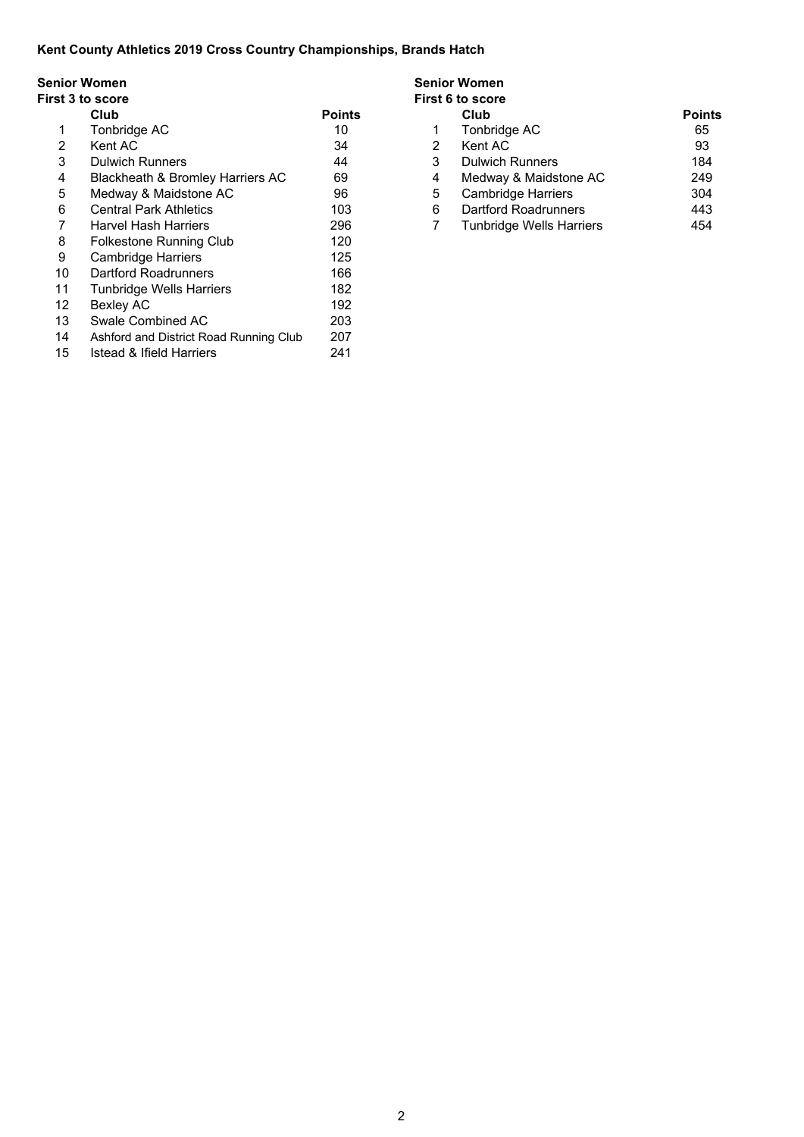# **Senior Women Senior Women**

#### **First 3 to score First 6 to score**

|    | Club                                   | <b>Points</b> |                | Club                        | Poin |
|----|----------------------------------------|---------------|----------------|-----------------------------|------|
| 1. | Tonbridge AC                           | 10            | 1              | Tonbridge AC                | 65   |
| 2  | Kent AC                                | 34            | $\overline{2}$ | Kent AC                     | 93   |
| 3  | <b>Dulwich Runners</b>                 | 44            | 3              | <b>Dulwich Runners</b>      | 184  |
| 4  | Blackheath & Bromley Harriers AC       | 69            | 4              | Medway & Maidstone AC       | 249  |
| 5  | Medway & Maidstone AC                  | 96            | 5              | <b>Cambridge Harriers</b>   | 304  |
| 6  | <b>Central Park Athletics</b>          | 103           | 6              | <b>Dartford Roadrunners</b> | 443  |
| 7  | <b>Harvel Hash Harriers</b>            | 296           |                | Tunbridge Wells Harriers    | 454  |
| 8  | Folkestone Running Club                | 120           |                |                             |      |
| 9  | <b>Cambridge Harriers</b>              | 125           |                |                             |      |
| 10 | Dartford Roadrunners                   | 166           |                |                             |      |
| 11 | <b>Tunbridge Wells Harriers</b>        | 182           |                |                             |      |
| 12 | <b>Bexley AC</b>                       | 192           |                |                             |      |
| 13 | Swale Combined AC                      | 203           |                |                             |      |
| 14 | Ashford and District Road Running Club | 207           |                |                             |      |
| 15 | <b>Istead &amp; Ifield Harriers</b>    | 241           |                |                             |      |

| omen                             |               | Senior women     |                                 |               |  |  |  |  |
|----------------------------------|---------------|------------------|---------------------------------|---------------|--|--|--|--|
| score                            |               | First 6 to score |                                 |               |  |  |  |  |
| Club                             | <b>Points</b> |                  | Club                            | <b>Points</b> |  |  |  |  |
| Tonbridge AC                     | 10            |                  | Tonbridge AC                    | 65            |  |  |  |  |
| Kent AC                          | 34            |                  | Kent AC                         | 93            |  |  |  |  |
| Dulwich Runners                  | 44            |                  | <b>Dulwich Runners</b>          | 184           |  |  |  |  |
| Blackheath & Bromley Harriers AC | 69            | 4                | Medway & Maidstone AC           | 249           |  |  |  |  |
| Medway & Maidstone AC            | 96            | 5                | <b>Cambridge Harriers</b>       | 304           |  |  |  |  |
| <b>Central Park Athletics</b>    | 103           | 6                | Dartford Roadrunners            | 443           |  |  |  |  |
| <b>Harvel Hash Harriers</b>      | 296           |                  | <b>Tunbridge Wells Harriers</b> | 454           |  |  |  |  |
|                                  |               |                  |                                 |               |  |  |  |  |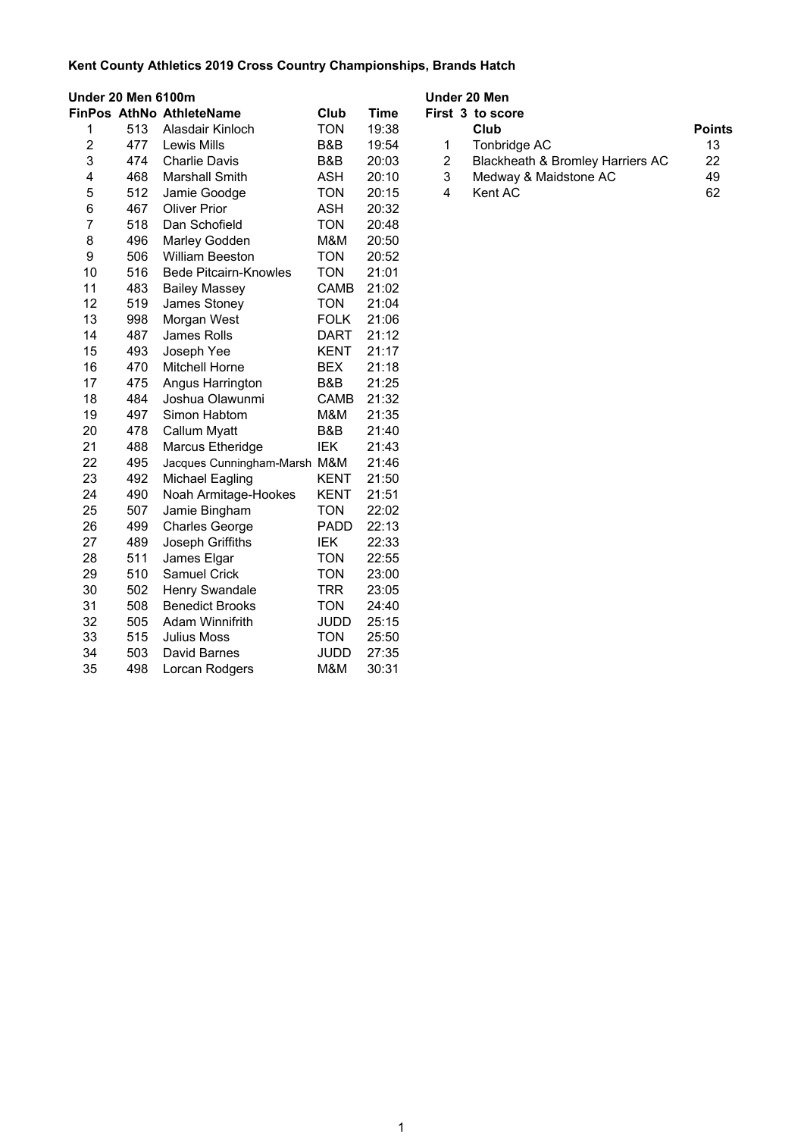| Under 20 Men 6100m |     |                                 |             | Under 20 Men |                |                                  |               |  |
|--------------------|-----|---------------------------------|-------------|--------------|----------------|----------------------------------|---------------|--|
|                    |     | <b>FinPos AthNo AthleteName</b> | Club        | <b>Time</b>  |                | First 3 to score                 |               |  |
| 1                  | 513 | Alasdair Kinloch                | <b>TON</b>  | 19:38        |                | Club                             | <b>Points</b> |  |
| 2                  | 477 | Lewis Mills                     | B&B         | 19:54        | 1              | Tonbridge AC                     | 13            |  |
| 3                  | 474 | <b>Charlie Davis</b>            | B&B         | 20:03        | $\overline{2}$ | Blackheath & Bromley Harriers AC | 22            |  |
| 4                  | 468 | Marshall Smith                  | ASH         | 20:10        | 3              | Medway & Maidstone AC            | 49            |  |
| 5                  | 512 | Jamie Goodge                    | <b>TON</b>  | 20:15        | 4              | Kent AC                          | 62            |  |
| 6                  | 467 | <b>Oliver Prior</b>             | <b>ASH</b>  | 20:32        |                |                                  |               |  |
| 7                  | 518 | Dan Schofield                   | <b>TON</b>  | 20:48        |                |                                  |               |  |
| 8                  | 496 | Marley Godden                   | M&M         | 20:50        |                |                                  |               |  |
| 9                  | 506 | <b>William Beeston</b>          | <b>TON</b>  | 20:52        |                |                                  |               |  |
| 10                 | 516 | <b>Bede Pitcairn-Knowles</b>    | <b>TON</b>  | 21:01        |                |                                  |               |  |
| 11                 | 483 | <b>Bailey Massey</b>            | <b>CAMB</b> | 21:02        |                |                                  |               |  |
| 12                 | 519 | James Stoney                    | <b>TON</b>  | 21:04        |                |                                  |               |  |
| 13                 | 998 | Morgan West                     | <b>FOLK</b> | 21:06        |                |                                  |               |  |
| 14                 | 487 | James Rolls                     | <b>DART</b> | 21:12        |                |                                  |               |  |
| 15                 | 493 | Joseph Yee                      | <b>KENT</b> | 21:17        |                |                                  |               |  |
| 16                 | 470 | <b>Mitchell Horne</b>           | <b>BEX</b>  | 21:18        |                |                                  |               |  |
| 17                 | 475 | Angus Harrington                | B&B         | 21:25        |                |                                  |               |  |
| 18                 | 484 | Joshua Olawunmi                 | <b>CAMB</b> | 21:32        |                |                                  |               |  |
| 19                 | 497 | Simon Habtom                    | M&M         | 21:35        |                |                                  |               |  |
| 20                 | 478 | Callum Myatt                    | B&B         | 21:40        |                |                                  |               |  |
| 21                 | 488 | Marcus Etheridge                | IEK         | 21:43        |                |                                  |               |  |
| 22                 | 495 | Jacques Cunningham-Marsh M&M    |             | 21:46        |                |                                  |               |  |
| 23                 | 492 | <b>Michael Eagling</b>          | <b>KENT</b> | 21:50        |                |                                  |               |  |
| 24                 | 490 | Noah Armitage-Hookes            | <b>KENT</b> | 21:51        |                |                                  |               |  |
| 25                 | 507 | Jamie Bingham                   | <b>TON</b>  | 22:02        |                |                                  |               |  |
| 26                 | 499 | <b>Charles George</b>           | <b>PADD</b> | 22:13        |                |                                  |               |  |
| 27                 | 489 | Joseph Griffiths                | <b>IEK</b>  | 22:33        |                |                                  |               |  |
| 28                 | 511 | James Elgar                     | <b>TON</b>  | 22:55        |                |                                  |               |  |
| 29                 | 510 | <b>Samuel Crick</b>             | <b>TON</b>  | 23:00        |                |                                  |               |  |
| 30                 | 502 | Henry Swandale                  | <b>TRR</b>  | 23:05        |                |                                  |               |  |
| 31                 | 508 | <b>Benedict Brooks</b>          | <b>TON</b>  | 24:40        |                |                                  |               |  |
| 32                 | 505 | <b>Adam Winnifrith</b>          | <b>JUDD</b> | 25:15        |                |                                  |               |  |
| 33                 | 515 | <b>Julius Moss</b>              | <b>TON</b>  | 25:50        |                |                                  |               |  |
| 34                 | 503 | David Barnes                    | <b>JUDD</b> | 27:35        |                |                                  |               |  |
| 35                 | 498 | Lorcan Rodgers                  | M&M         | 30:31        |                |                                  |               |  |

|   | Inder 20 Men |                                  |               |  |  |  |  |
|---|--------------|----------------------------------|---------------|--|--|--|--|
|   |              | irst 3 to score                  |               |  |  |  |  |
|   |              | Club                             | <b>Points</b> |  |  |  |  |
|   |              | 1 Tonbridge AC                   | 13            |  |  |  |  |
| 2 |              | Blackheath & Bromley Harriers AC | 22            |  |  |  |  |
| 3 |              | Medway & Maidstone AC            | 49            |  |  |  |  |
|   |              | Kent AC                          | 62            |  |  |  |  |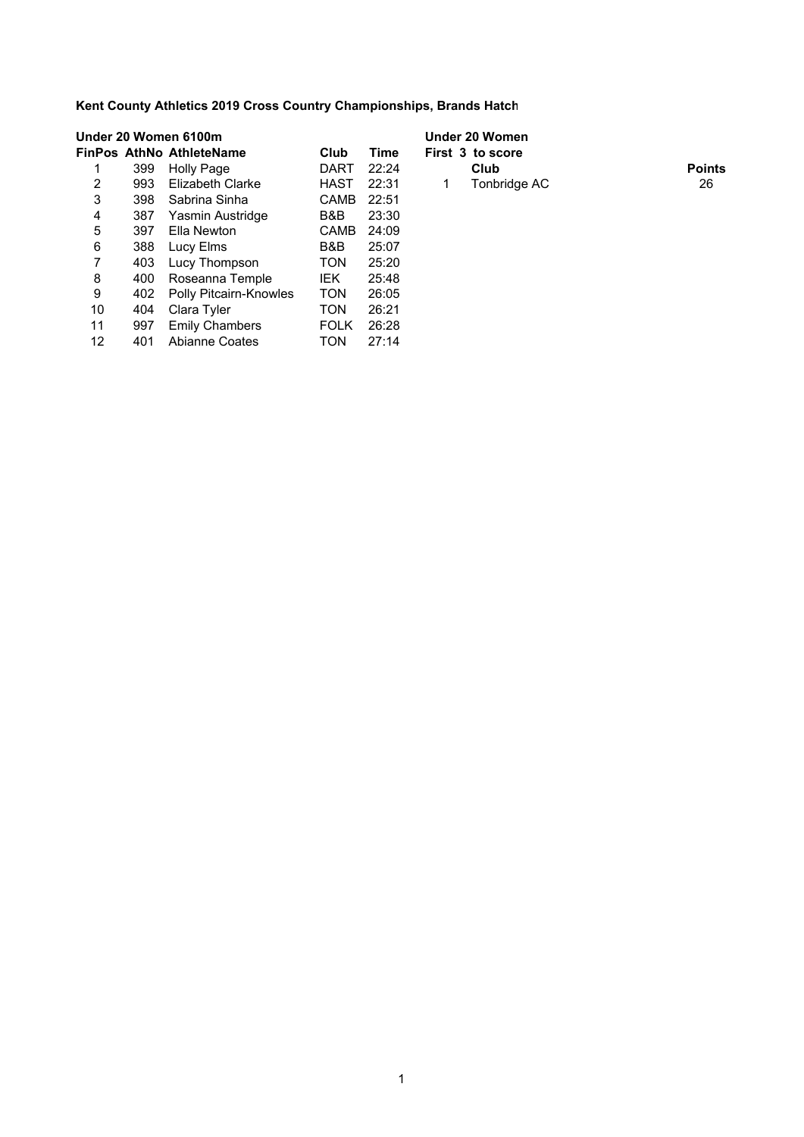|    |     | Under 20 Women 6100m          |             | Under 20 Women |    |                  |               |  |
|----|-----|-------------------------------|-------------|----------------|----|------------------|---------------|--|
|    |     | FinPos AthNo AthleteName      | Club        | Time           |    | First 3 to score |               |  |
|    | 399 | Holly Page                    | DART        | 22:24          |    | Club             | <b>Points</b> |  |
| 2  | 993 | Elizabeth Clarke              | HAST        | 22:31          | 1. | Tonbridge AC     | 26            |  |
| 3  | 398 | Sabrina Sinha                 | CAMB        | 22:51          |    |                  |               |  |
| 4  | 387 | Yasmin Austridge              | B&B         | 23:30          |    |                  |               |  |
| 5  | 397 | Ella Newton                   | <b>CAMB</b> | 24:09          |    |                  |               |  |
| 6  | 388 | Lucy Elms                     | B&B         | 25:07          |    |                  |               |  |
| 7  | 403 | Lucy Thompson                 | <b>TON</b>  | 25:20          |    |                  |               |  |
| 8  | 400 | Roseanna Temple               | <b>IEK</b>  | 25:48          |    |                  |               |  |
| 9  | 402 | <b>Polly Pitcairn-Knowles</b> | <b>TON</b>  | 26:05          |    |                  |               |  |
| 10 | 404 | Clara Tyler                   | <b>TON</b>  | 26:21          |    |                  |               |  |
| 11 | 997 | <b>Emily Chambers</b>         | <b>FOLK</b> | 26:28          |    |                  |               |  |
| 12 | 401 | <b>Abianne Coates</b>         | TON         | 27:14          |    |                  |               |  |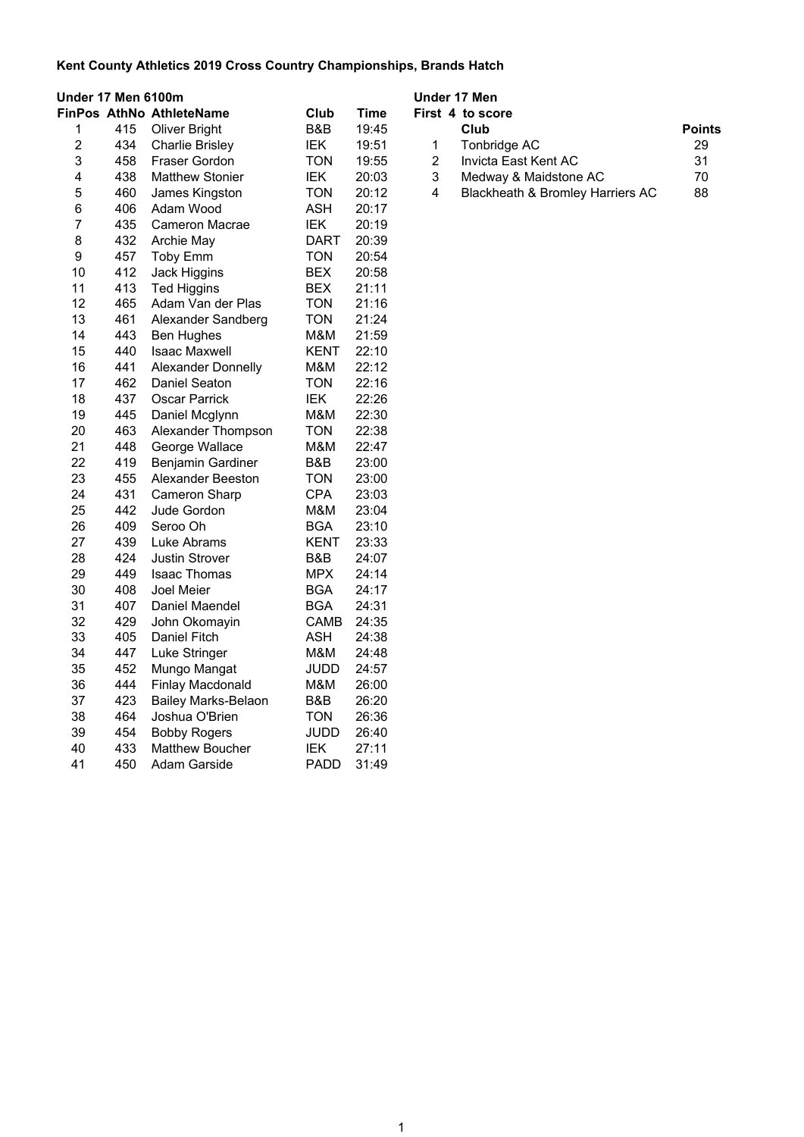| Under 17 Men 6100m      |     |                            |             |             |                | Under 17 Men                     |               |
|-------------------------|-----|----------------------------|-------------|-------------|----------------|----------------------------------|---------------|
|                         |     | FinPos AthNo AthleteName   | Club        | <b>Time</b> |                | First 4 to score                 |               |
| 1                       | 415 | Oliver Bright              | B&B         | 19:45       |                | Club                             | <b>Points</b> |
| $\overline{2}$          | 434 | Charlie Brisley            | IEK         | 19:51       | 1              | Tonbridge AC                     | 29            |
| 3                       | 458 | <b>Fraser Gordon</b>       | TON         | 19:55       | $\overline{c}$ | Invicta East Kent AC             | 31            |
| $\overline{\mathbf{4}}$ | 438 | <b>Matthew Stonier</b>     | IEK         | 20:03       | 3              | Medway & Maidstone AC            | 70            |
| 5                       | 460 | James Kingston             | TON         | 20:12       | 4              | Blackheath & Bromley Harriers AC | 88            |
| 6                       | 406 | Adam Wood                  | ASH         | 20:17       |                |                                  |               |
| $\overline{7}$          | 435 | Cameron Macrae             | IEK         | 20:19       |                |                                  |               |
| 8                       | 432 | Archie May                 | <b>DART</b> | 20:39       |                |                                  |               |
| $\boldsymbol{9}$        | 457 | <b>Toby Emm</b>            | <b>TON</b>  | 20:54       |                |                                  |               |
| 10                      | 412 | Jack Higgins               | <b>BEX</b>  | 20:58       |                |                                  |               |
| 11                      | 413 | <b>Ted Higgins</b>         | <b>BEX</b>  | 21:11       |                |                                  |               |
| 12                      | 465 | Adam Van der Plas          | <b>TON</b>  | 21:16       |                |                                  |               |
| 13                      | 461 | Alexander Sandberg         | <b>TON</b>  | 21:24       |                |                                  |               |
| 14                      | 443 | <b>Ben Hughes</b>          | M&M         | 21:59       |                |                                  |               |
| 15                      | 440 | Isaac Maxwell              | KENT        | 22:10       |                |                                  |               |
| 16                      | 441 | <b>Alexander Donnelly</b>  | M&M         | 22:12       |                |                                  |               |
| 17                      | 462 | Daniel Seaton              | <b>TON</b>  | 22:16       |                |                                  |               |
| 18                      | 437 | <b>Oscar Parrick</b>       | IEK         | 22:26       |                |                                  |               |
| 19                      | 445 | Daniel Mcglynn             | M&M         | 22:30       |                |                                  |               |
| 20                      | 463 | Alexander Thompson         | <b>TON</b>  | 22:38       |                |                                  |               |
| 21                      | 448 | George Wallace             | M&M         | 22:47       |                |                                  |               |
| 22                      | 419 | <b>Benjamin Gardiner</b>   | B&B         | 23:00       |                |                                  |               |
| 23                      | 455 | Alexander Beeston          | <b>TON</b>  | 23:00       |                |                                  |               |
| 24                      | 431 | Cameron Sharp              | <b>CPA</b>  | 23:03       |                |                                  |               |
| 25                      | 442 | Jude Gordon                | M&M         | 23:04       |                |                                  |               |
| 26                      | 409 | Seroo Oh                   | <b>BGA</b>  | 23:10       |                |                                  |               |
| 27                      | 439 | Luke Abrams                | KENT        | 23:33       |                |                                  |               |
| 28                      | 424 | <b>Justin Strover</b>      | B&B         | 24:07       |                |                                  |               |
| 29                      | 449 | <b>Isaac Thomas</b>        | MPX         | 24:14       |                |                                  |               |
| 30                      | 408 | Joel Meier                 | BGA         | 24:17       |                |                                  |               |
| 31                      | 407 | Daniel Maendel             | <b>BGA</b>  | 24:31       |                |                                  |               |
| 32                      | 429 | John Okomayin              | CAMB        | 24:35       |                |                                  |               |
| 33                      | 405 | Daniel Fitch               | <b>ASH</b>  | 24:38       |                |                                  |               |
| 34                      | 447 | Luke Stringer              | M&M         | 24:48       |                |                                  |               |
| 35                      | 452 | Mungo Mangat               | <b>JUDD</b> | 24:57       |                |                                  |               |
| 36                      | 444 | Finlay Macdonald           | M&M         | 26:00       |                |                                  |               |
| 37                      | 423 | <b>Bailey Marks-Belaon</b> | B&B         | 26:20       |                |                                  |               |
| 38                      | 464 | Joshua O'Brien             | <b>TON</b>  | 26:36       |                |                                  |               |
| 39                      | 454 | <b>Bobby Rogers</b>        | JUDD        | 26:40       |                |                                  |               |
| 40                      | 433 | <b>Matthew Boucher</b>     | IEK         | 27:11       |                |                                  |               |
| 41                      | 450 | Adam Garside               | PADD        | 31:49       |                |                                  |               |

|                | naer 17 men                      |               |  |  |  |  |  |  |
|----------------|----------------------------------|---------------|--|--|--|--|--|--|
|                | irst 4 to score                  |               |  |  |  |  |  |  |
|                | Club                             | <b>Points</b> |  |  |  |  |  |  |
| $\overline{1}$ | Tonbridge AC                     | 29            |  |  |  |  |  |  |
| 2              | Invicta East Kent AC             | 31            |  |  |  |  |  |  |
| 3              | Medway & Maidstone AC            | 70            |  |  |  |  |  |  |
| 4              | Blackheath & Bromley Harriers AC | 88            |  |  |  |  |  |  |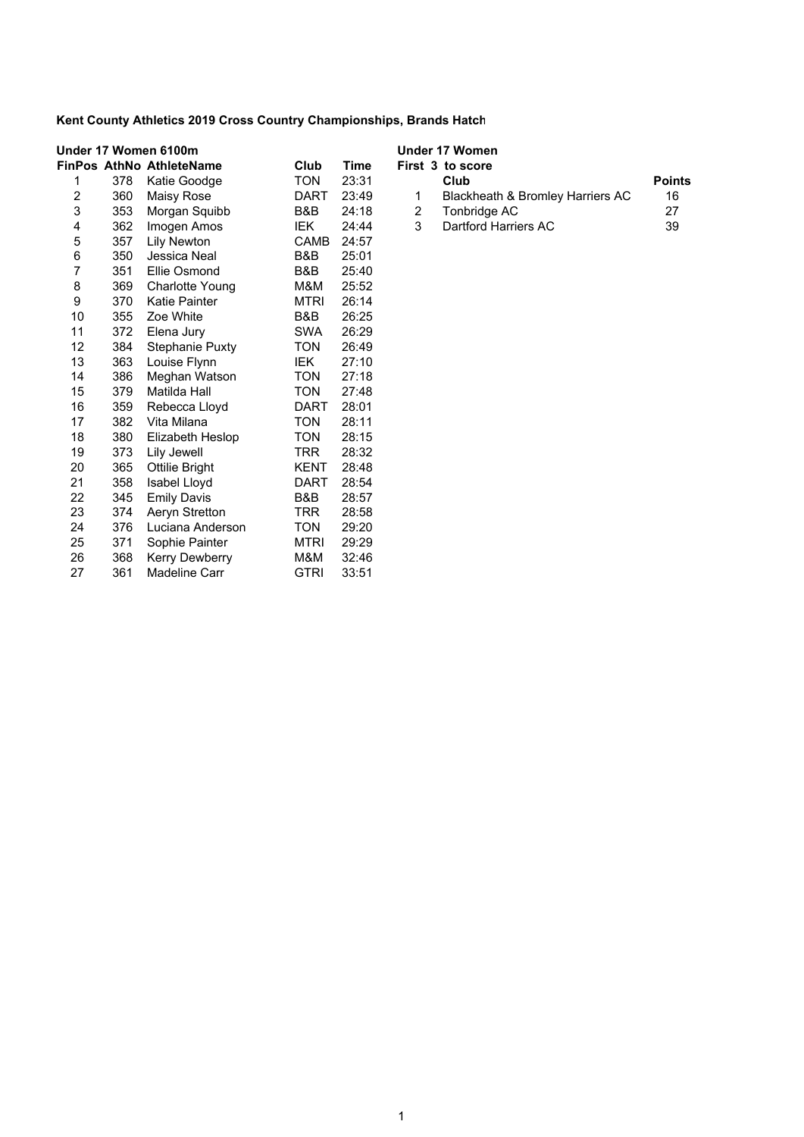| Under 17 Women 6100m    |     |                                 |             | Under 17 Women |   |                                  |               |
|-------------------------|-----|---------------------------------|-------------|----------------|---|----------------------------------|---------------|
|                         |     | <b>FinPos AthNo AthleteName</b> | Club        | <b>Time</b>    |   | First 3 to score                 |               |
| 1                       | 378 | Katie Goodge                    | <b>TON</b>  | 23:31          |   | Club                             | <b>Points</b> |
| $\overline{\mathbf{c}}$ | 360 | Maisy Rose                      | <b>DART</b> | 23:49          | 1 | Blackheath & Bromley Harriers AC | 16            |
| 3                       | 353 | Morgan Squibb                   | B&B         | 24:18          | 2 | Tonbridge AC                     | 27            |
| 4                       | 362 | Imogen Amos                     | IEK         | 24:44          | 3 | Dartford Harriers AC             | 39            |
| 5                       | 357 | <b>Lily Newton</b>              | CAMB        | 24:57          |   |                                  |               |
| 6                       | 350 | Jessica Neal                    | B&B         | 25:01          |   |                                  |               |
| $\overline{7}$          | 351 | Ellie Osmond                    | B&B         | 25:40          |   |                                  |               |
| 8                       | 369 | <b>Charlotte Young</b>          | M&M         | 25:52          |   |                                  |               |
| 9                       | 370 | Katie Painter                   | MTRI        | 26:14          |   |                                  |               |
| 10                      | 355 | Zoe White                       | B&B         | 26:25          |   |                                  |               |
| 11                      | 372 | Elena Jury                      | <b>SWA</b>  | 26:29          |   |                                  |               |
| 12                      | 384 | <b>Stephanie Puxty</b>          | <b>TON</b>  | 26:49          |   |                                  |               |
| 13                      | 363 | Louise Flynn                    | IEK.        | 27:10          |   |                                  |               |
| 14                      | 386 | Meghan Watson                   | <b>TON</b>  | 27:18          |   |                                  |               |
| 15                      | 379 | Matilda Hall                    | <b>TON</b>  | 27:48          |   |                                  |               |
| 16                      | 359 | Rebecca Lloyd                   | <b>DART</b> | 28:01          |   |                                  |               |
| 17                      | 382 | Vita Milana                     | <b>TON</b>  | 28:11          |   |                                  |               |
| 18                      | 380 | Elizabeth Heslop                | TON         | 28:15          |   |                                  |               |
| 19                      | 373 | Lily Jewell                     | TRR         | 28:32          |   |                                  |               |
| 20                      | 365 | <b>Ottilie Bright</b>           | <b>KENT</b> | 28:48          |   |                                  |               |
| 21                      | 358 | Isabel Lloyd                    | <b>DART</b> | 28:54          |   |                                  |               |
| 22                      | 345 | <b>Emily Davis</b>              | B&B         | 28:57          |   |                                  |               |
| 23                      | 374 | Aeryn Stretton                  | TRR         | 28:58          |   |                                  |               |
| 24                      | 376 | Luciana Anderson                | <b>TON</b>  | 29:20          |   |                                  |               |
| 25                      | 371 | Sophie Painter                  | <b>MTRI</b> | 29:29          |   |                                  |               |
| 26                      | 368 | Kerry Dewberry                  | M&M         | 32:46          |   |                                  |               |
| 27                      | 361 | Madeline Carr                   | <b>GTRI</b> | 33:51          |   |                                  |               |

|    | Jnder 17 Women                   |               |
|----|----------------------------------|---------------|
|    | First 3 to score                 |               |
|    | Club                             | <b>Points</b> |
| 1. | Blackheath & Bromley Harriers AC | 16            |
| 2  | Tonbridge AC                     | 27            |
| 3  | Dartford Harriers AC             | 39            |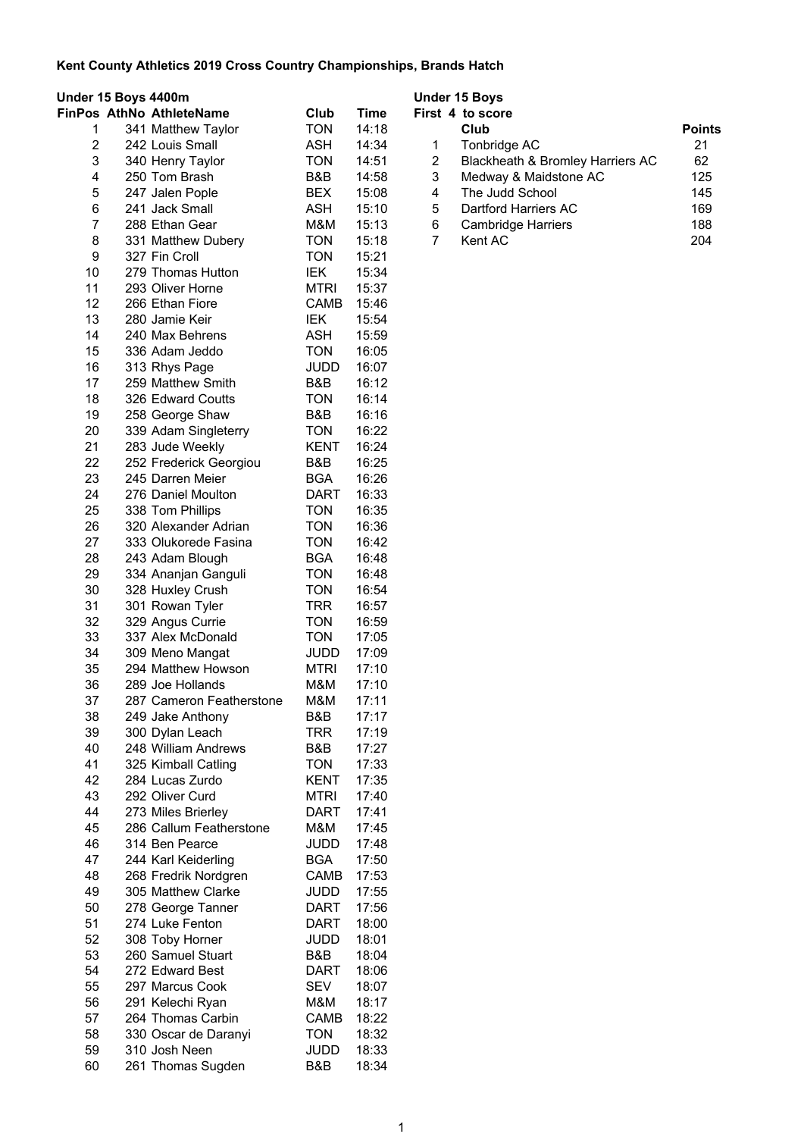|                | Under 15 Boys 4400m      |             |                | <b>Under 15 Boys</b>                               |               |
|----------------|--------------------------|-------------|----------------|----------------------------------------------------|---------------|
|                | FinPos AthNo AthleteName | Club        | <b>Time</b>    | First 4 to score                                   |               |
| 1              | 341 Matthew Taylor       | <b>TON</b>  | 14:18          | Club                                               | <b>Points</b> |
| $\overline{c}$ | 242 Louis Small          | ASH         | 14:34          | Tonbridge AC<br>1                                  | 21            |
| 3              | 340 Henry Taylor         | <b>TON</b>  | 14:51          | $\overline{c}$<br>Blackheath & Bromley Harriers AC | 62            |
| 4              | 250 Tom Brash            | B&B         | 14:58          | 3<br>Medway & Maidstone AC                         | 125           |
| 5              | 247 Jalen Pople          | BEX         | 15:08          | 4<br>The Judd School                               | 145           |
| 6              | 241 Jack Small           | ASH         | 15:10          | 5<br>Dartford Harriers AC                          | 169           |
| 7              | 288 Ethan Gear           | M&M         | 15:13          | 6<br><b>Cambridge Harriers</b>                     | 188           |
| 8              | 331 Matthew Dubery       | <b>TON</b>  | 15:18          | Kent AC<br>$\overline{7}$                          | 204           |
| 9              | 327 Fin Croll            | <b>TON</b>  | 15:21          |                                                    |               |
| 10             | 279 Thomas Hutton        | IEK         | 15:34          |                                                    |               |
| 11             | 293 Oliver Horne         | <b>MTRI</b> | 15:37          |                                                    |               |
| 12             | 266 Ethan Fiore          | CAMB        | 15:46          |                                                    |               |
| 13             | 280 Jamie Keir           | IEK         | 15:54          |                                                    |               |
| 14             | 240 Max Behrens          | <b>ASH</b>  | 15:59          |                                                    |               |
| 15             | 336 Adam Jeddo           | <b>TON</b>  | 16:05          |                                                    |               |
| 16             | 313 Rhys Page            | JUDD        | 16:07          |                                                    |               |
| 17             | 259 Matthew Smith        | B&B         | 16:12          |                                                    |               |
| 18             | 326 Edward Coutts        | <b>TON</b>  | 16:14          |                                                    |               |
| 19             | 258 George Shaw          | B&B         | 16:16          |                                                    |               |
| 20             | 339 Adam Singleterry     | <b>TON</b>  | 16:22          |                                                    |               |
| 21             | 283 Jude Weekly          | KENT        | 16:24          |                                                    |               |
| 22             | 252 Frederick Georgiou   | B&B         | 16:25          |                                                    |               |
| 23             | 245 Darren Meier         | <b>BGA</b>  | 16:26          |                                                    |               |
| 24             | 276 Daniel Moulton       | DART        | 16:33          |                                                    |               |
| 25             | 338 Tom Phillips         | <b>TON</b>  | 16:35          |                                                    |               |
| 26             | 320 Alexander Adrian     | <b>TON</b>  | 16:36          |                                                    |               |
| 27             | 333 Olukorede Fasina     | <b>TON</b>  | 16:42          |                                                    |               |
| 28             | 243 Adam Blough          | <b>BGA</b>  | 16:48          |                                                    |               |
|                |                          |             | 16:48          |                                                    |               |
| 29             | 334 Ananjan Ganguli      | <b>TON</b>  |                |                                                    |               |
| 30             | 328 Huxley Crush         | <b>TON</b>  | 16:54<br>16:57 |                                                    |               |
| 31<br>32       | 301 Rowan Tyler          | TRR         | 16:59          |                                                    |               |
|                | 329 Angus Currie         | <b>TON</b>  |                |                                                    |               |
| 33             | 337 Alex McDonald        | <b>TON</b>  | 17:05          |                                                    |               |
| 34             | 309 Meno Mangat          | JUDD        | 17:09          |                                                    |               |
| 35             | 294 Matthew Howson       | <b>MTRI</b> | 17:10          |                                                    |               |
| 36             | 289 Joe Hollands         | M&M         | 17:10          |                                                    |               |
| 37             | 287 Cameron Featherstone | M&M         | 17:11          |                                                    |               |
| 38             | 249 Jake Anthony         | B&B         | 17:17          |                                                    |               |
| 39             | 300 Dylan Leach          | <b>TRR</b>  | 17:19          |                                                    |               |
| 40             | 248 William Andrews      | B&B         | 17:27          |                                                    |               |
| 41             | 325 Kimball Catling      | <b>TON</b>  | 17:33          |                                                    |               |
| 42             | 284 Lucas Zurdo          | <b>KENT</b> | 17:35          |                                                    |               |
| 43             | 292 Oliver Curd          | <b>MTRI</b> | 17:40          |                                                    |               |
| 44             | 273 Miles Brierley       | <b>DART</b> | 17:41          |                                                    |               |
| 45             | 286 Callum Featherstone  | M&M         | 17:45          |                                                    |               |
| 46             | 314 Ben Pearce           | <b>JUDD</b> | 17:48          |                                                    |               |
| 47             | 244 Karl Keiderling      | <b>BGA</b>  | 17:50          |                                                    |               |
| 48             | 268 Fredrik Nordgren     | CAMB        | 17:53          |                                                    |               |
| 49             | 305 Matthew Clarke       | JUDD        | 17:55          |                                                    |               |
| 50             | 278 George Tanner        | DART        | 17:56          |                                                    |               |
| 51             | 274 Luke Fenton          | DART        | 18:00          |                                                    |               |
| 52             | 308 Toby Horner          | JUDD        | 18:01          |                                                    |               |
| 53             | 260 Samuel Stuart        | B&B         | 18:04          |                                                    |               |
| 54             | 272 Edward Best          | DART        | 18:06          |                                                    |               |
| 55             | 297 Marcus Cook          | SEV         | 18:07          |                                                    |               |
| 56             | 291 Kelechi Ryan         | M&M         | 18:17          |                                                    |               |
| 57             | 264 Thomas Carbin        | CAMB        | 18:22          |                                                    |               |
| 58             | 330 Oscar de Daranyi     | <b>TON</b>  | 18:32          |                                                    |               |
| 59             | 310 Josh Neen            | JUDD        | 18:33          |                                                    |               |
| 60             | 261 Thomas Sugden        | B&B         | 18:34          |                                                    |               |

|   | טטע טו ו <b>טש</b> וו                       |               |
|---|---------------------------------------------|---------------|
|   | irst 4 to score                             |               |
|   | Club                                        | <b>Points</b> |
| 1 | Tonbridge AC                                | 21            |
| 2 | <b>Blackheath &amp; Bromley Harriers AC</b> | 62            |
| 3 | Medway & Maidstone AC                       | 125           |
| 4 | The Judd School                             | 145           |
| 5 | Dartford Harriers AC                        | 169           |
| 6 | Cambridge Harriers                          | 188           |
|   | Kent AC                                     | 204           |
|   |                                             |               |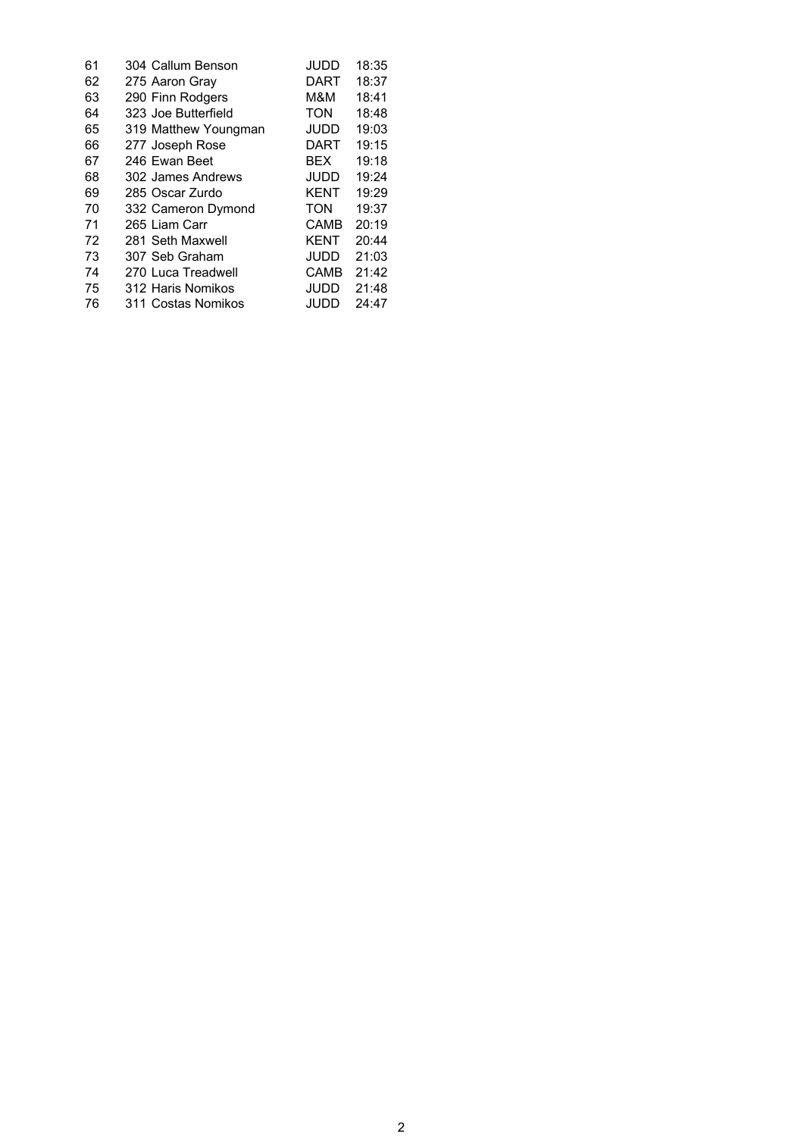| 61 | 304 Callum Benson    | JUDD        | 18:35 |
|----|----------------------|-------------|-------|
| 62 | 275 Aaron Gray       | DART        | 18:37 |
| 63 | 290 Finn Rodgers     | M&M         | 18:41 |
| 64 | 323 Joe Butterfield  | <b>TON</b>  | 18:48 |
| 65 | 319 Matthew Youngman | <b>JUDD</b> | 19:03 |
| 66 | 277 Joseph Rose      | DART        | 19:15 |
| 67 | 246 Ewan Beet        | BFX         | 19:18 |
| 68 | 302 James Andrews    | JUDD        | 19:24 |
| 69 | 285 Oscar Zurdo      | <b>KENT</b> | 19:29 |
| 70 | 332 Cameron Dymond   | <b>TON</b>  | 19:37 |
| 71 | 265 Liam Carr        | CAMB        | 20:19 |
| 72 | 281 Seth Maxwell     | <b>KENT</b> | 20:44 |
| 73 | 307 Seb Graham       | JUDD        | 21:03 |
| 74 | 270 Luca Treadwell   | CAMB        | 21:42 |
| 75 | 312 Haris Nomikos    | JUDD        | 21:48 |
| 76 | 311 Costas Nomikos   | JUDD.       | 24:47 |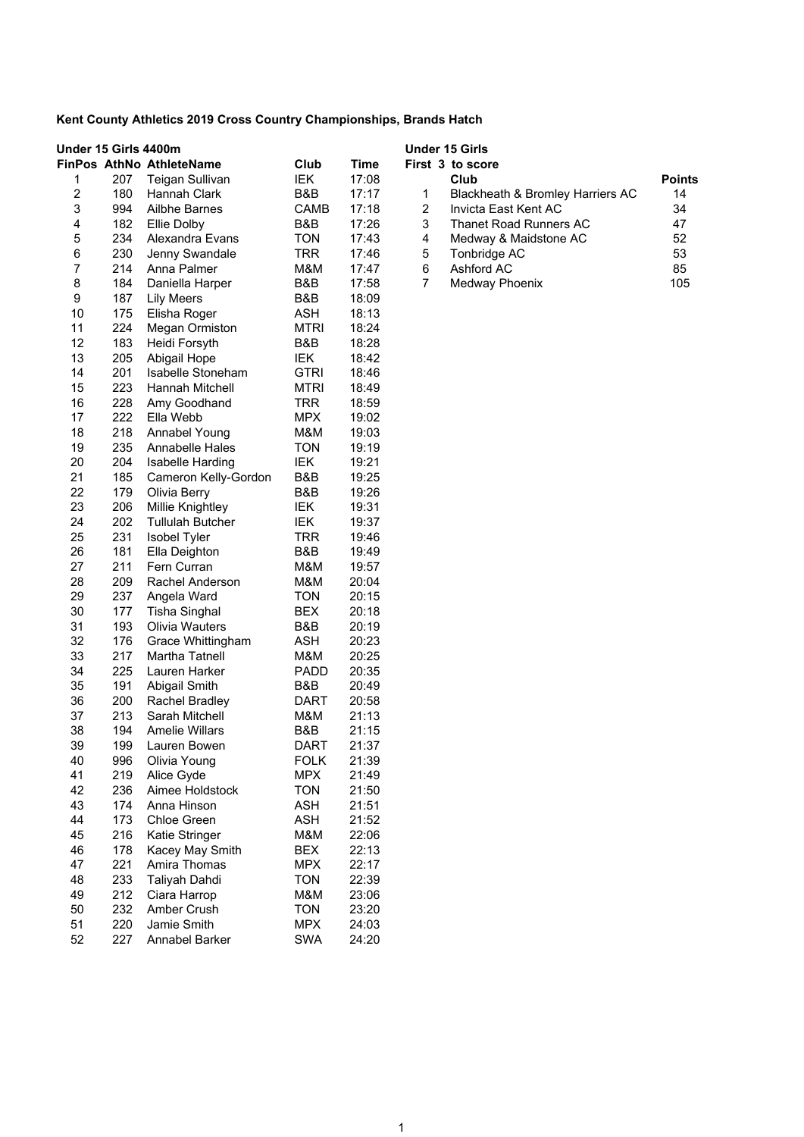| Under 15 Girls 4400m      |     | <b>FinPos AthNo AthleteName</b>                 | Club              | <b>Time</b>    |                | <b>Under 15 Girls</b><br>First 3 to score |               |
|---------------------------|-----|-------------------------------------------------|-------------------|----------------|----------------|-------------------------------------------|---------------|
| 1                         | 207 | Teigan Sullivan                                 | IEK               | 17:08          |                | Club                                      | <b>Points</b> |
| $\boldsymbol{2}$          | 180 | Hannah Clark                                    | B&B               | 17:17          | 1              | Blackheath & Bromley Harriers AC          | 14            |
| $\ensuremath{\mathsf{3}}$ | 994 | Ailbhe Barnes                                   | <b>CAMB</b>       | 17:18          | $\overline{c}$ | Invicta East Kent AC                      | 34            |
| 4                         | 182 | Ellie Dolby                                     | B&B               | 17:26          | 3              | <b>Thanet Road Runners AC</b>             | 47            |
| 5                         | 234 | Alexandra Evans                                 | <b>TON</b>        | 17:43          | 4              | Medway & Maidstone AC                     | 52            |
| 6                         | 230 | Jenny Swandale                                  | <b>TRR</b>        | 17:46          | 5              | Tonbridge AC                              | 53            |
| 7                         | 214 | Anna Palmer                                     | M&M               | 17:47          | 6              | <b>Ashford AC</b>                         | 85            |
| 8                         | 184 | Daniella Harper                                 | B&B               | 17:58          | 7              | Medway Phoenix                            | 105           |
| 9                         | 187 | <b>Lily Meers</b>                               | B&B               | 18:09          |                |                                           |               |
| 10                        | 175 | Elisha Roger                                    | <b>ASH</b>        | 18:13          |                |                                           |               |
| 11                        | 224 | <b>Megan Ormiston</b>                           | MTRI              | 18:24          |                |                                           |               |
| 12                        | 183 | Heidi Forsyth                                   | B&B               | 18:28          |                |                                           |               |
| 13                        | 205 | Abigail Hope                                    | IEK               | 18:42          |                |                                           |               |
| 14                        | 201 | Isabelle Stoneham                               | <b>GTRI</b>       | 18:46          |                |                                           |               |
| 15                        | 223 | Hannah Mitchell                                 | <b>MTRI</b>       | 18:49          |                |                                           |               |
| 16                        | 228 | Amy Goodhand                                    | <b>TRR</b>        | 18:59          |                |                                           |               |
| 17                        | 222 | Ella Webb                                       | <b>MPX</b>        | 19:02          |                |                                           |               |
| 18                        | 218 | Annabel Young                                   | M&M               | 19:03          |                |                                           |               |
| 19                        | 235 | <b>Annabelle Hales</b>                          | <b>TON</b>        | 19:19          |                |                                           |               |
| 20                        | 204 |                                                 | IEK               | 19:21          |                |                                           |               |
| 21                        | 185 | <b>Isabelle Harding</b><br>Cameron Kelly-Gordon | B&B               |                |                |                                           |               |
| 22                        | 179 |                                                 | B&B               | 19:25<br>19:26 |                |                                           |               |
| 23                        | 206 | Olivia Berry                                    | IEK               | 19:31          |                |                                           |               |
| 24                        | 202 | Millie Knightley                                |                   | 19:37          |                |                                           |               |
| 25                        | 231 | <b>Tullulah Butcher</b>                         | IEK<br><b>TRR</b> |                |                |                                           |               |
|                           |     | Isobel Tyler                                    |                   | 19:46          |                |                                           |               |
| 26                        | 181 | Ella Deighton                                   | B&B               | 19:49          |                |                                           |               |
| 27                        | 211 | Fern Curran                                     | M&M               | 19:57          |                |                                           |               |
| 28                        | 209 | Rachel Anderson                                 | M&M               | 20:04          |                |                                           |               |
| 29                        | 237 | Angela Ward                                     | <b>TON</b>        | 20:15          |                |                                           |               |
| 30                        | 177 | <b>Tisha Singhal</b>                            | <b>BEX</b>        | 20:18          |                |                                           |               |
| 31                        | 193 | Olivia Wauters                                  | B&B               | 20:19          |                |                                           |               |
| 32                        | 176 | Grace Whittingham                               | <b>ASH</b>        | 20:23          |                |                                           |               |
| 33                        | 217 | Martha Tatnell<br>Lauren Harker                 | M&M               | 20:25          |                |                                           |               |
| 34                        | 225 |                                                 | <b>PADD</b>       | 20:35          |                |                                           |               |
| 35                        | 191 | Abigail Smith                                   | B&B               | 20:49          |                |                                           |               |
| 36                        | 200 | Rachel Bradley                                  | DART              | 20:58          |                |                                           |               |
| 37                        | 213 | Sarah Mitchell                                  | M&M               | 21:13          |                |                                           |               |
| 38                        | 194 | <b>Amelie Willars</b>                           | B&B               | 21:15          |                |                                           |               |
| 39                        | 199 | Lauren Bowen                                    | <b>DART</b>       | 21:37          |                |                                           |               |
| 40                        | 996 | Olivia Young                                    | <b>FOLK</b>       | 21:39          |                |                                           |               |
| 41                        | 219 | Alice Gyde                                      | <b>MPX</b>        | 21:49          |                |                                           |               |
| 42                        | 236 | Aimee Holdstock                                 | <b>TON</b>        | 21:50          |                |                                           |               |
| 43                        | 174 | Anna Hinson                                     | <b>ASH</b>        | 21:51          |                |                                           |               |
| 44                        | 173 | Chloe Green                                     | <b>ASH</b>        | 21:52          |                |                                           |               |
| 45                        | 216 | Katie Stringer                                  | M&M               | 22:06          |                |                                           |               |
| 46                        | 178 | Kacey May Smith                                 | <b>BEX</b>        | 22:13          |                |                                           |               |
| 47                        | 221 | Amira Thomas                                    | <b>MPX</b>        | 22:17          |                |                                           |               |
| 48                        | 233 | Taliyah Dahdi                                   | <b>TON</b>        | 22:39          |                |                                           |               |
| 49                        | 212 | Ciara Harrop                                    | M&M               | 23:06          |                |                                           |               |
| 50                        | 232 | Amber Crush                                     | <b>TON</b>        | 23:20          |                |                                           |               |
| 51                        | 220 | Jamie Smith                                     | <b>MPX</b>        | 24:03          |                |                                           |               |
| 52                        | 227 | Annabel Barker                                  | <b>SWA</b>        | 24:20          |                |                                           |               |

|   | irst 3 to score                  |               |
|---|----------------------------------|---------------|
|   | Club                             | <b>Points</b> |
| 1 | Blackheath & Bromley Harriers AC | 14            |
| 2 | Invicta East Kent AC             | 34            |
| 3 | Thanet Road Runners AC           | 47            |
| 4 | Medway & Maidstone AC            | 52            |
| 5 | Tonbridge AC                     | 53            |
| 6 | Ashford AC                       | 85            |
|   | Medway Phoenix                   | 105           |
|   |                                  |               |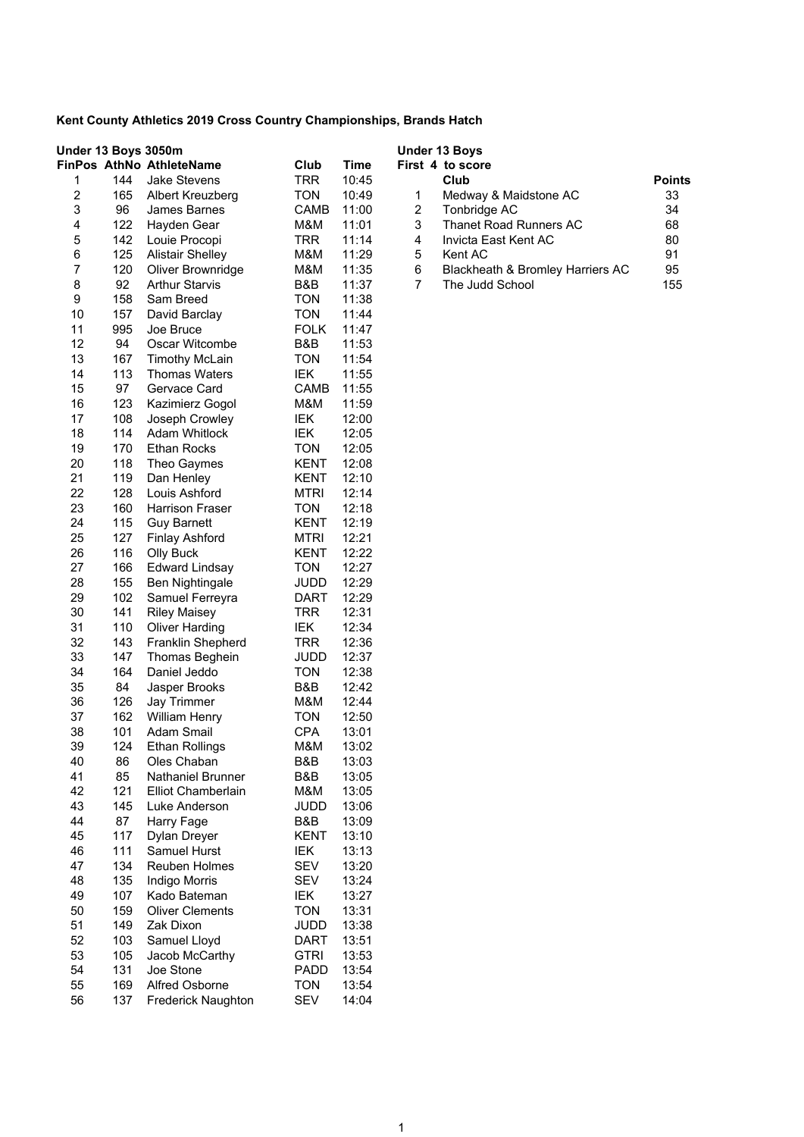|                  | Under 13 Boys 3050m |                                               |                          |                | <b>Under 13 Boys</b>                  |               |
|------------------|---------------------|-----------------------------------------------|--------------------------|----------------|---------------------------------------|---------------|
|                  |                     | FinPos AthNo AthleteName                      | Club                     | <b>Time</b>    | First 4 to score                      |               |
| 1                | 144                 | <b>Jake Stevens</b>                           | <b>TRR</b>               | 10:45          | Club                                  | <b>Points</b> |
| $\boldsymbol{2}$ | 165                 | Albert Kreuzberg                              | <b>TON</b>               | 10:49          | 1<br>Medway & Maidstone AC            | 33            |
| 3                | 96                  | James Barnes                                  | CAMB                     | 11:00          | $\overline{c}$<br>Tonbridge AC        | 34            |
| 4                | 122                 | Hayden Gear                                   | M&M                      | 11:01          | 3<br><b>Thanet Road Runners AC</b>    | 68            |
| 5                | 142                 | Louie Procopi                                 | TRR                      | 11:14          | 4<br>Invicta East Kent AC             | 80            |
| 6                | 125                 | <b>Alistair Shelley</b>                       | M&M                      | 11:29          | 5<br>Kent AC                          | 91            |
| $\boldsymbol{7}$ | 120                 | Oliver Brownridge                             | M&M                      | 11:35          | 6<br>Blackheath & Bromley Harriers AC | 95            |
| 8                | 92                  | <b>Arthur Starvis</b>                         | B&B                      | 11:37          | $\overline{7}$<br>The Judd School     | 155           |
| 9                | 158                 | Sam Breed                                     | <b>TON</b><br><b>TON</b> | 11:38          |                                       |               |
| 10<br>11         | 157<br>995          | David Barclay                                 |                          | 11:44          |                                       |               |
| 12               | 94                  | Joe Bruce                                     | <b>FOLK</b><br>B&B       | 11:47          |                                       |               |
| 13               | 167                 | Oscar Witcombe                                | <b>TON</b>               | 11:53          |                                       |               |
| 14               | 113                 | <b>Timothy McLain</b><br><b>Thomas Waters</b> | IEK                      | 11:54<br>11:55 |                                       |               |
| 15               | 97                  | Gervace Card                                  | <b>CAMB</b>              | 11:55          |                                       |               |
| 16               | 123                 |                                               | M&M                      | 11:59          |                                       |               |
| 17               | 108                 | Kazimierz Gogol                               |                          | 12:00          |                                       |               |
| 18               | 114                 | Joseph Crowley<br><b>Adam Whitlock</b>        | IEK<br>IEK               | 12:05          |                                       |               |
| 19               | 170                 |                                               | <b>TON</b>               |                |                                       |               |
| 20               | 118                 | <b>Ethan Rocks</b><br>Theo Gaymes             | KENT                     | 12:05<br>12:08 |                                       |               |
| 21               | 119                 |                                               | <b>KENT</b>              | 12:10          |                                       |               |
| 22               | 128                 | Dan Henley<br>Louis Ashford                   | <b>MTRI</b>              | 12:14          |                                       |               |
| 23               | 160                 | <b>Harrison Fraser</b>                        | <b>TON</b>               | 12:18          |                                       |               |
| 24               | 115                 | <b>Guy Barnett</b>                            | <b>KENT</b>              | 12:19          |                                       |               |
| 25               | 127                 | <b>Finlay Ashford</b>                         | <b>MTRI</b>              | 12:21          |                                       |               |
| 26               | 116                 | Olly Buck                                     | <b>KENT</b>              | 12:22          |                                       |               |
| 27               | 166                 | <b>Edward Lindsay</b>                         | <b>TON</b>               | 12:27          |                                       |               |
| 28               | 155                 | Ben Nightingale                               | JUDD                     | 12:29          |                                       |               |
| 29               | 102                 | Samuel Ferreyra                               | <b>DART</b>              | 12:29          |                                       |               |
| 30               | 141                 | <b>Riley Maisey</b>                           | <b>TRR</b>               | 12:31          |                                       |               |
| 31               | 110                 | <b>Oliver Harding</b>                         | IEK                      | 12:34          |                                       |               |
| 32               | 143                 | Franklin Shepherd                             | <b>TRR</b>               | 12:36          |                                       |               |
| 33               | 147                 | Thomas Beghein                                | JUDD                     | 12:37          |                                       |               |
| 34               | 164                 | Daniel Jeddo                                  | <b>TON</b>               | 12:38          |                                       |               |
| 35               | 84                  | Jasper Brooks                                 | B&B                      | 12:42          |                                       |               |
| 36               | 126                 | Jay Trimmer                                   | M&M                      | 12:44          |                                       |               |
| 37               | 162                 | William Henry                                 | <b>TON</b>               | 12:50          |                                       |               |
| 38               | 101                 | Adam Smail                                    | <b>CPA</b>               | 13:01          |                                       |               |
| 39               | 124                 | <b>Ethan Rollings</b>                         | M&M                      | 13:02          |                                       |               |
| 40               | 86                  | Oles Chaban                                   | B&B                      | 13:03          |                                       |               |
| 41               | 85                  | <b>Nathaniel Brunner</b>                      | B&B                      | 13:05          |                                       |               |
| 42               | 121                 | Elliot Chamberlain                            | M&M                      | 13:05          |                                       |               |
| 43               | 145                 | Luke Anderson                                 | JUDD                     | 13:06          |                                       |               |
| 44               | 87                  | Harry Fage                                    | B&B                      | 13:09          |                                       |               |
| 45               | 117                 | Dylan Dreyer                                  | <b>KENT</b>              | 13:10          |                                       |               |
| 46               | 111                 | Samuel Hurst                                  | IEK                      | 13:13          |                                       |               |
| 47               | 134                 | <b>Reuben Holmes</b>                          | <b>SEV</b>               | 13:20          |                                       |               |
| 48               | 135                 | <b>Indigo Morris</b>                          | <b>SEV</b>               | 13:24          |                                       |               |
| 49               | 107                 | Kado Bateman                                  | IEK                      | 13:27          |                                       |               |
| 50               | 159                 | <b>Oliver Clements</b>                        | <b>TON</b>               | 13:31          |                                       |               |
| 51               | 149                 | Zak Dixon                                     | <b>JUDD</b>              | 13:38          |                                       |               |
| 52               | 103                 | Samuel Lloyd                                  | <b>DART</b>              | 13:51          |                                       |               |
| 53               | 105                 | Jacob McCarthy                                | <b>GTRI</b>              | 13:53          |                                       |               |
| 54               | 131                 | Joe Stone                                     | <b>PADD</b>              | 13:54          |                                       |               |
| 55               | 169                 | <b>Alfred Osborne</b>                         | TON                      | 13:54          |                                       |               |
| 56               | 137                 | <b>Frederick Naughton</b>                     | <b>SEV</b>               | 14:04          |                                       |               |

|                | rst 4 to score                   |               |
|----------------|----------------------------------|---------------|
|                | Club                             | <b>Points</b> |
| 1              | Medway & Maidstone AC            | 33            |
| -2             | Tonbridge AC                     | 34            |
| 3              | <b>Thanet Road Runners AC</b>    | 68            |
| $\overline{4}$ | Invicta East Kent AC             | 80            |
| -5             | Kent AC                          | 91            |
| 6              | Blackheath & Bromley Harriers AC | 95            |
|                | The Judd School                  | 155           |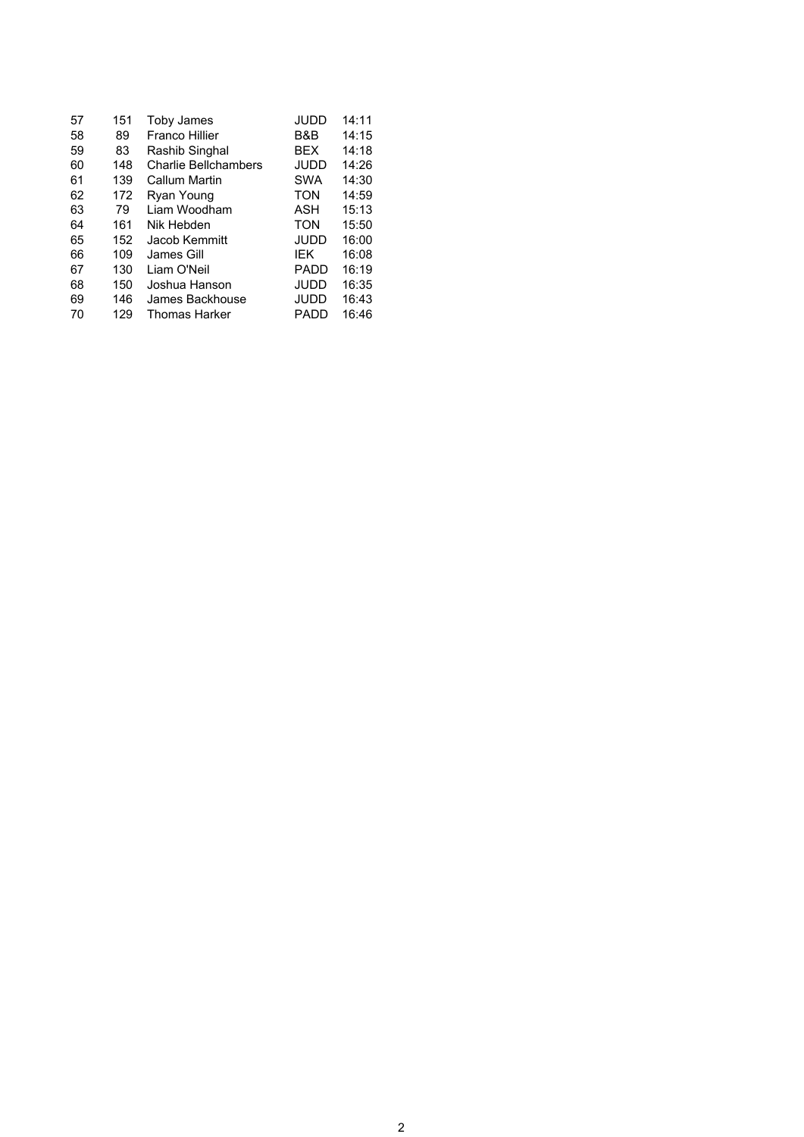| 57 | 151 | Toby James                  | JUDD        | 14:11 |
|----|-----|-----------------------------|-------------|-------|
| 58 | 89  | Franco Hillier              | B&B         | 14:15 |
| 59 | 83  | Rashib Singhal              | <b>BFX</b>  | 14:18 |
| 60 | 148 | <b>Charlie Bellchambers</b> | <b>JUDD</b> | 14:26 |
| 61 | 139 | Callum Martin               | <b>SWA</b>  | 14:30 |
| 62 | 172 | Ryan Young                  | TON         | 14:59 |
| 63 | 79  | Liam Woodham                | ASH         | 15:13 |
| 64 | 161 | Nik Hebden                  | <b>TON</b>  | 15:50 |
| 65 | 152 | Jacob Kemmitt               | JUDD        | 16:00 |
| 66 | 109 | James Gill                  | <b>IFK</b>  | 16:08 |
| 67 | 130 | I iam O'Neil                | <b>PADD</b> | 16:19 |
| 68 | 150 | Joshua Hanson               | JUDD        | 16:35 |
| 69 | 146 | James Backhouse             | JUDD        | 16:43 |
| 70 | 129 | <b>Thomas Harker</b>        | PADD        | 16:46 |